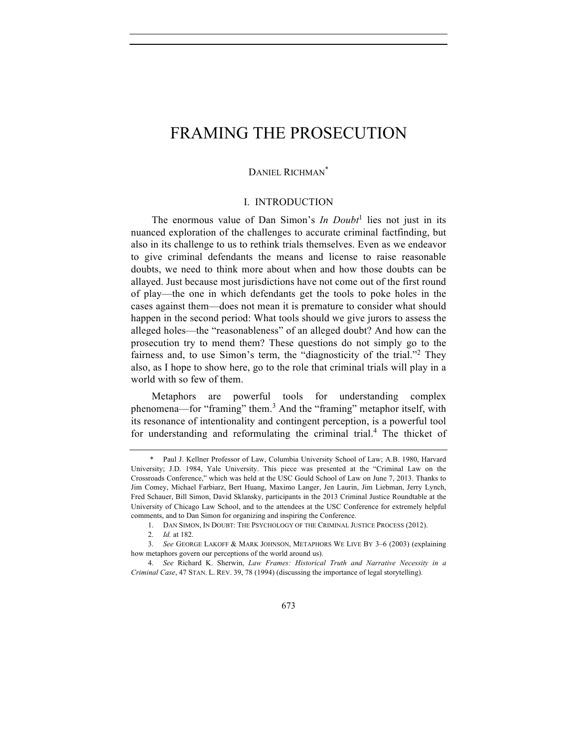### DANIEL RICHMAN\*

## I. INTRODUCTION

The enormous value of Dan Simon's *In Doubt*<sup>1</sup> lies not just in its nuanced exploration of the challenges to accurate criminal factfinding, but also in its challenge to us to rethink trials themselves. Even as we endeavor to give criminal defendants the means and license to raise reasonable doubts, we need to think more about when and how those doubts can be allayed. Just because most jurisdictions have not come out of the first round of play—the one in which defendants get the tools to poke holes in the cases against them—does not mean it is premature to consider what should happen in the second period: What tools should we give jurors to assess the alleged holes—the "reasonableness" of an alleged doubt? And how can the prosecution try to mend them? These questions do not simply go to the fairness and, to use Simon's term, the "diagnosticity of the trial."<sup>2</sup> They also, as I hope to show here, go to the role that criminal trials will play in a world with so few of them.

Metaphors are powerful tools for understanding complex phenomena—for "framing" them.<sup>3</sup> And the "framing" metaphor itself, with its resonance of intentionality and contingent perception, is a powerful tool for understanding and reformulating the criminal trial.<sup>4</sup> The thicket of

Paul J. Kellner Professor of Law, Columbia University School of Law; A.B. 1980, Harvard University; J.D. 1984, Yale University. This piece was presented at the "Criminal Law on the Crossroads Conference," which was held at the USC Gould School of Law on June 7, 2013. Thanks to Jim Comey, Michael Farbiarz, Bert Huang, Maximo Langer, Jen Laurin, Jim Liebman, Jerry Lynch, Fred Schauer, Bill Simon, David Sklansky, participants in the 2013 Criminal Justice Roundtable at the University of Chicago Law School, and to the attendees at the USC Conference for extremely helpful comments, and to Dan Simon for organizing and inspiring the Conference.

<sup>1.</sup> DAN SIMON, IN DOUBT: THE PSYCHOLOGY OF THE CRIMINAL JUSTICE PROCESS (2012).

<sup>2.</sup> *Id.* at 182.

<sup>3.</sup> *See* GEORGE LAKOFF & MARK JOHNSON, METAPHORS WE LIVE BY 3–6 (2003) (explaining how metaphors govern our perceptions of the world around us).

<sup>4.</sup> *See* Richard K. Sherwin, *Law Frames: Historical Truth and Narrative Necessity in a Criminal Case*, 47 STAN. L. REV. 39, 78 (1994) (discussing the importance of legal storytelling).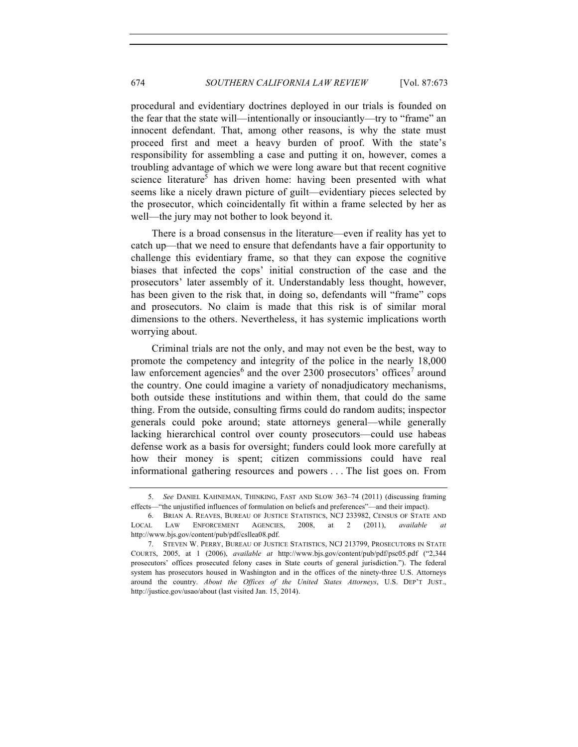procedural and evidentiary doctrines deployed in our trials is founded on the fear that the state will—intentionally or insouciantly—try to "frame" an innocent defendant. That, among other reasons, is why the state must proceed first and meet a heavy burden of proof. With the state's responsibility for assembling a case and putting it on, however, comes a troubling advantage of which we were long aware but that recent cognitive science literature<sup>5</sup> has driven home: having been presented with what seems like a nicely drawn picture of guilt—evidentiary pieces selected by the prosecutor, which coincidentally fit within a frame selected by her as well—the jury may not bother to look beyond it.

There is a broad consensus in the literature—even if reality has yet to catch up—that we need to ensure that defendants have a fair opportunity to challenge this evidentiary frame, so that they can expose the cognitive biases that infected the cops' initial construction of the case and the prosecutors' later assembly of it. Understandably less thought, however, has been given to the risk that, in doing so, defendants will "frame" cops and prosecutors. No claim is made that this risk is of similar moral dimensions to the others. Nevertheless, it has systemic implications worth worrying about.

Criminal trials are not the only, and may not even be the best, way to promote the competency and integrity of the police in the nearly 18,000 law enforcement agencies<sup>6</sup> and the over 2300 prosecutors' offices<sup>7</sup> around the country. One could imagine a variety of nonadjudicatory mechanisms, both outside these institutions and within them, that could do the same thing. From the outside, consulting firms could do random audits; inspector generals could poke around; state attorneys general—while generally lacking hierarchical control over county prosecutors—could use habeas defense work as a basis for oversight; funders could look more carefully at how their money is spent; citizen commissions could have real informational gathering resources and powers . . . The list goes on. From

<sup>5.</sup> *See* DANIEL KAHNEMAN, THINKING, FAST AND SLOW 363–74 (2011) (discussing framing effects—"the unjustified influences of formulation on beliefs and preferences"—and their impact).

<sup>6.</sup> BRIAN A. REAVES, BUREAU OF JUSTICE STATISTICS, NCJ 233982, CENSUS OF STATE AND LOCAL LAW ENFORCEMENT AGENCIES, 2008, at 2 (2011), *available at* http://www.bjs.gov/content/pub/pdf/csllea08.pdf.

<sup>7.</sup> STEVEN W. PERRY, BUREAU OF JUSTICE STATISTICS, NCJ 213799, PROSECUTORS IN STATE COURTS, 2005, at 1 (2006), *available at* http://www.bjs.gov/content/pub/pdf/psc05.pdf ("2,344 prosecutors' offices prosecuted felony cases in State courts of general jurisdiction."). The federal system has prosecutors housed in Washington and in the offices of the ninety-three U.S. Attorneys around the country. *About the Offices of the United States Attorneys*, U.S. DEP'T JUST., http://justice.gov/usao/about (last visited Jan. 15, 2014).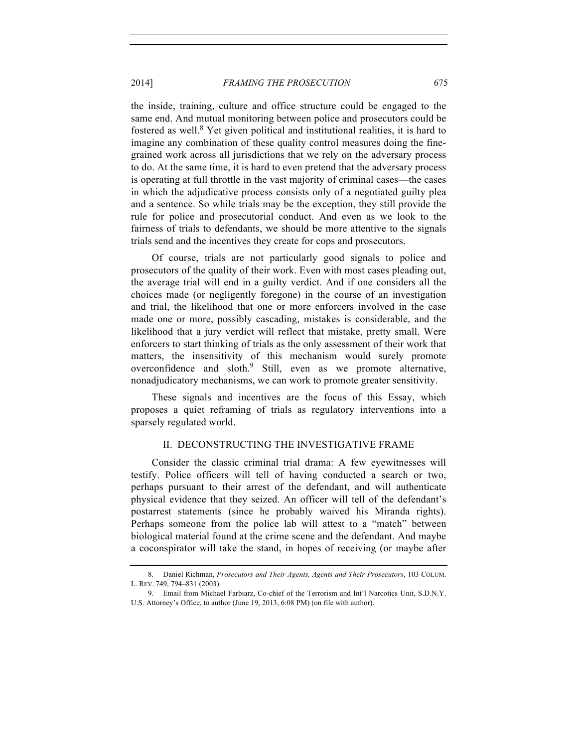the inside, training, culture and office structure could be engaged to the same end. And mutual monitoring between police and prosecutors could be fostered as well.<sup>8</sup> Yet given political and institutional realities, it is hard to imagine any combination of these quality control measures doing the finegrained work across all jurisdictions that we rely on the adversary process to do. At the same time, it is hard to even pretend that the adversary process is operating at full throttle in the vast majority of criminal cases—the cases in which the adjudicative process consists only of a negotiated guilty plea and a sentence. So while trials may be the exception, they still provide the rule for police and prosecutorial conduct. And even as we look to the fairness of trials to defendants, we should be more attentive to the signals trials send and the incentives they create for cops and prosecutors.

Of course, trials are not particularly good signals to police and prosecutors of the quality of their work. Even with most cases pleading out, the average trial will end in a guilty verdict. And if one considers all the choices made (or negligently foregone) in the course of an investigation and trial, the likelihood that one or more enforcers involved in the case made one or more, possibly cascading, mistakes is considerable, and the likelihood that a jury verdict will reflect that mistake, pretty small. Were enforcers to start thinking of trials as the only assessment of their work that matters, the insensitivity of this mechanism would surely promote overconfidence and sloth.<sup>9</sup> Still, even as we promote alternative, nonadjudicatory mechanisms, we can work to promote greater sensitivity.

These signals and incentives are the focus of this Essay, which proposes a quiet reframing of trials as regulatory interventions into a sparsely regulated world.

#### II. DECONSTRUCTING THE INVESTIGATIVE FRAME

Consider the classic criminal trial drama: A few eyewitnesses will testify. Police officers will tell of having conducted a search or two, perhaps pursuant to their arrest of the defendant, and will authenticate physical evidence that they seized. An officer will tell of the defendant's postarrest statements (since he probably waived his Miranda rights). Perhaps someone from the police lab will attest to a "match" between biological material found at the crime scene and the defendant. And maybe a coconspirator will take the stand, in hopes of receiving (or maybe after

<sup>8.</sup> Daniel Richman, *Prosecutors and Their Agents, Agents and Their Prosecutors*, 103 COLUM. L. REV. 749, 794–831 (2003).

<sup>9.</sup> Email from Michael Farbiarz, Co-chief of the Terrorism and Int'l Narcotics Unit, S.D.N.Y. U.S. Attorney's Office, to author (June 19, 2013, 6:08 PM) (on file with author).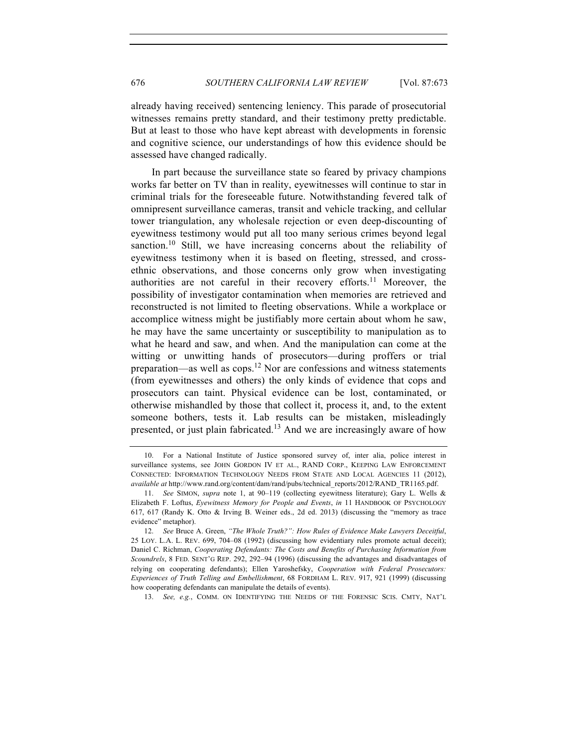already having received) sentencing leniency. This parade of prosecutorial witnesses remains pretty standard, and their testimony pretty predictable. But at least to those who have kept abreast with developments in forensic and cognitive science, our understandings of how this evidence should be assessed have changed radically.

In part because the surveillance state so feared by privacy champions works far better on TV than in reality, eyewitnesses will continue to star in criminal trials for the foreseeable future. Notwithstanding fevered talk of omnipresent surveillance cameras, transit and vehicle tracking, and cellular tower triangulation, any wholesale rejection or even deep-discounting of eyewitness testimony would put all too many serious crimes beyond legal sanction.<sup>10</sup> Still, we have increasing concerns about the reliability of eyewitness testimony when it is based on fleeting, stressed, and crossethnic observations, and those concerns only grow when investigating authorities are not careful in their recovery efforts.<sup>11</sup> Moreover, the possibility of investigator contamination when memories are retrieved and reconstructed is not limited to fleeting observations. While a workplace or accomplice witness might be justifiably more certain about whom he saw, he may have the same uncertainty or susceptibility to manipulation as to what he heard and saw, and when. And the manipulation can come at the witting or unwitting hands of prosecutors—during proffers or trial preparation—as well as cops.<sup>12</sup> Nor are confessions and witness statements (from eyewitnesses and others) the only kinds of evidence that cops and prosecutors can taint. Physical evidence can be lost, contaminated, or otherwise mishandled by those that collect it, process it, and, to the extent someone bothers, tests it. Lab results can be mistaken, misleadingly presented, or just plain fabricated.<sup>13</sup> And we are increasingly aware of how

13. *See, e.g.*, COMM. ON IDENTIFYING THE NEEDS OF THE FORENSIC SCIS. CMTY, NAT'L

<sup>10.</sup> For a National Institute of Justice sponsored survey of, inter alia, police interest in surveillance systems, see JOHN GORDON IV ET AL., RAND CORP., KEEPING LAW ENFORCEMENT CONNECTED: INFORMATION TECHNOLOGY NEEDS FROM STATE AND LOCAL AGENCIES 11 (2012), *available at* http://www.rand.org/content/dam/rand/pubs/technical\_reports/2012/RAND\_TR1165.pdf.

<sup>11.</sup> *See* SIMON, *supra* note 1, at 90–119 (collecting eyewitness literature); Gary L. Wells & Elizabeth F. Loftus, *Eyewitness Memory for People and Events*, *in* 11 HANDBOOK OF PSYCHOLOGY 617, 617 (Randy K. Otto & Irving B. Weiner eds., 2d ed. 2013) (discussing the "memory as trace evidence" metaphor).

<sup>12.</sup> *See* Bruce A. Green, *"The Whole Truth?": How Rules of Evidence Make Lawyers Deceitful*, 25 LOY. L.A. L. REV. 699, 704–08 (1992) (discussing how evidentiary rules promote actual deceit); Daniel C. Richman, *Cooperating Defendants: The Costs and Benefits of Purchasing Information from Scoundrels*, 8 FED. SENT'G REP. 292, 292–94 (1996) (discussing the advantages and disadvantages of relying on cooperating defendants); Ellen Yaroshefsky, *Cooperation with Federal Prosecutors: Experiences of Truth Telling and Embellishment*, 68 FORDHAM L. REV. 917, 921 (1999) (discussing how cooperating defendants can manipulate the details of events).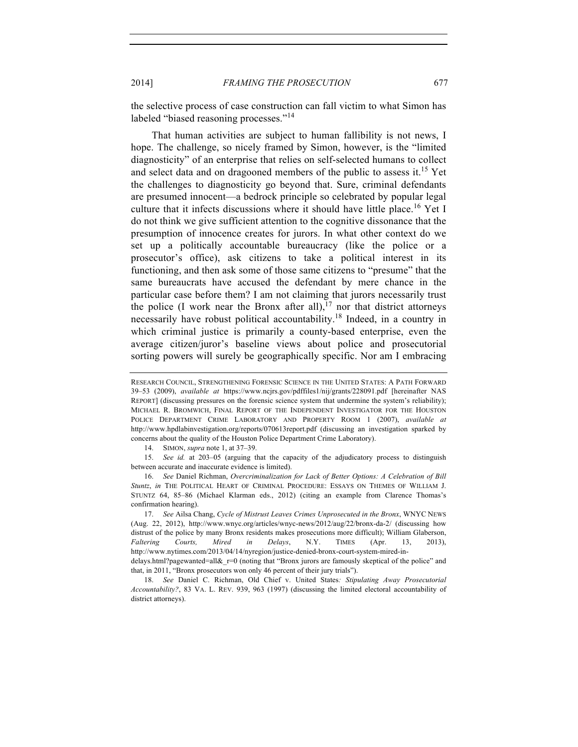the selective process of case construction can fall victim to what Simon has labeled "biased reasoning processes."<sup>14</sup>

That human activities are subject to human fallibility is not news, I hope. The challenge, so nicely framed by Simon, however, is the "limited diagnosticity" of an enterprise that relies on self-selected humans to collect and select data and on dragooned members of the public to assess it.<sup>15</sup> Yet the challenges to diagnosticity go beyond that. Sure, criminal defendants are presumed innocent—a bedrock principle so celebrated by popular legal culture that it infects discussions where it should have little place.<sup>16</sup> Yet I do not think we give sufficient attention to the cognitive dissonance that the presumption of innocence creates for jurors. In what other context do we set up a politically accountable bureaucracy (like the police or a prosecutor's office), ask citizens to take a political interest in its functioning, and then ask some of those same citizens to "presume" that the same bureaucrats have accused the defendant by mere chance in the particular case before them? I am not claiming that jurors necessarily trust the police (I work near the Bronx after all),<sup>17</sup> nor that district attorneys necessarily have robust political accountability.18 Indeed, in a country in which criminal justice is primarily a county-based enterprise, even the average citizen/juror's baseline views about police and prosecutorial sorting powers will surely be geographically specific. Nor am I embracing

14. SIMON, *supra* note 1, at 37–39.

15. *See id.* at 203–05 (arguing that the capacity of the adjudicatory process to distinguish between accurate and inaccurate evidence is limited).

16. *See* Daniel Richman, *Overcriminalization for Lack of Better Options: A Celebration of Bill Stuntz*, *in* THE POLITICAL HEART OF CRIMINAL PROCEDURE: ESSAYS ON THEMES OF WILLIAM J. STUNTZ 64, 85–86 (Michael Klarman eds., 2012) (citing an example from Clarence Thomas's confirmation hearing).

17. *See* Ailsa Chang, *Cycle of Mistrust Leaves Crimes Unprosecuted in the Bronx*, WNYC NEWS (Aug. 22, 2012), http://www.wnyc.org/articles/wnyc-news/2012/aug/22/bronx-da-2/ (discussing how distrust of the police by many Bronx residents makes prosecutions more difficult); William Glaberson, *Faltering Courts, Mired in Delays*, N.Y. TIMES (Apr. 13, 2013), http://www.nytimes.com/2013/04/14/nyregion/justice-denied-bronx-court-system-mired-in-

delays.html?pagewanted=all&\_r=0 (noting that "Bronx jurors are famously skeptical of the police" and that, in 2011, "Bronx prosecutors won only 46 percent of their jury trials").

18. *See* Daniel C. Richman, Old Chief v. United States*: Stipulating Away Prosecutorial Accountability?*, 83 VA. L. REV. 939, 963 (1997) (discussing the limited electoral accountability of district attorneys).

RESEARCH COUNCIL, STRENGTHENING FORENSIC SCIENCE IN THE UNITED STATES: A PATH FORWARD 39–53 (2009), *available at* https://www.ncjrs.gov/pdffiles1/nij/grants/228091.pdf [hereinafter NAS REPORT] (discussing pressures on the forensic science system that undermine the system's reliability); MICHAEL R. BROMWICH, FINAL REPORT OF THE INDEPENDENT INVESTIGATOR FOR THE HOUSTON POLICE DEPARTMENT CRIME LABORATORY AND PROPERTY ROOM 1 (2007), *available at* http://www.hpdlabinvestigation.org/reports/070613report.pdf (discussing an investigation sparked by concerns about the quality of the Houston Police Department Crime Laboratory).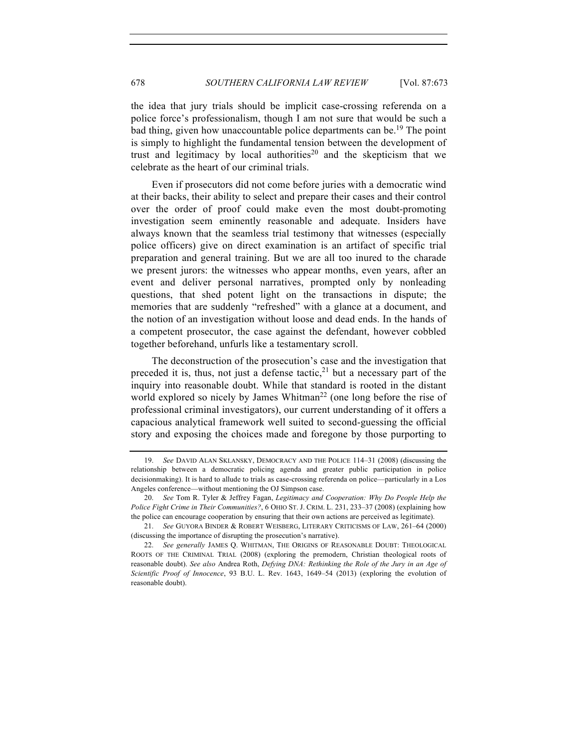the idea that jury trials should be implicit case-crossing referenda on a police force's professionalism, though I am not sure that would be such a bad thing, given how unaccountable police departments can be.<sup>19</sup> The point is simply to highlight the fundamental tension between the development of trust and legitimacy by local authorities<sup>20</sup> and the skepticism that we celebrate as the heart of our criminal trials.

Even if prosecutors did not come before juries with a democratic wind at their backs, their ability to select and prepare their cases and their control over the order of proof could make even the most doubt-promoting investigation seem eminently reasonable and adequate. Insiders have always known that the seamless trial testimony that witnesses (especially police officers) give on direct examination is an artifact of specific trial preparation and general training. But we are all too inured to the charade we present jurors: the witnesses who appear months, even years, after an event and deliver personal narratives, prompted only by nonleading questions, that shed potent light on the transactions in dispute; the memories that are suddenly "refreshed" with a glance at a document, and the notion of an investigation without loose and dead ends. In the hands of a competent prosecutor, the case against the defendant, however cobbled together beforehand, unfurls like a testamentary scroll.

The deconstruction of the prosecution's case and the investigation that preceded it is, thus, not just a defense tactic, $21$  but a necessary part of the inquiry into reasonable doubt. While that standard is rooted in the distant world explored so nicely by James Whitman<sup>22</sup> (one long before the rise of professional criminal investigators), our current understanding of it offers a capacious analytical framework well suited to second-guessing the official story and exposing the choices made and foregone by those purporting to

<sup>19.</sup> *See* DAVID ALAN SKLANSKY, DEMOCRACY AND THE POLICE 114–31 (2008) (discussing the relationship between a democratic policing agenda and greater public participation in police decisionmaking). It is hard to allude to trials as case-crossing referenda on police—particularly in a Los Angeles conference—without mentioning the OJ Simpson case.

<sup>20.</sup> *See* Tom R. Tyler & Jeffrey Fagan, *Legitimacy and Cooperation: Why Do People Help the Police Fight Crime in Their Communities?*, 6 OHIO ST. J. CRIM. L. 231, 233–37 (2008) (explaining how the police can encourage cooperation by ensuring that their own actions are perceived as legitimate).

<sup>21.</sup> *See* GUYORA BINDER & ROBERT WEISBERG, LITERARY CRITICISMS OF LAW, 261–64 (2000) (discussing the importance of disrupting the prosecution's narrative).

<sup>22.</sup> *See generally* JAMES Q. WHITMAN, THE ORIGINS OF REASONABLE DOUBT: THEOLOGICAL ROOTS OF THE CRIMINAL TRIAL (2008) (exploring the premodern, Christian theological roots of reasonable doubt). *See also* Andrea Roth, *Defying DNA: Rethinking the Role of the Jury in an Age of Scientific Proof of Innocence*, 93 B.U. L. Rev. 1643, 1649–54 (2013) (exploring the evolution of reasonable doubt).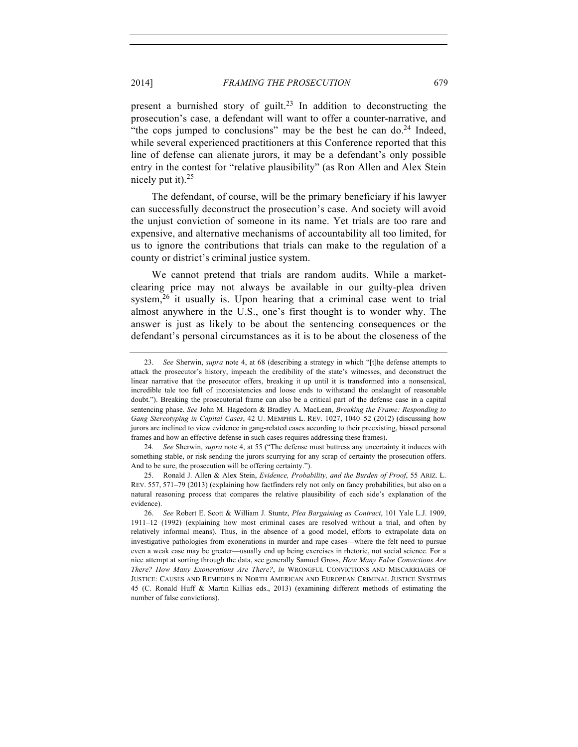present a burnished story of guilt.<sup>23</sup> In addition to deconstructing the prosecution's case, a defendant will want to offer a counter-narrative, and "the cops jumped to conclusions" may be the best he can  $d_0$ <sup>24</sup> Indeed, while several experienced practitioners at this Conference reported that this line of defense can alienate jurors, it may be a defendant's only possible entry in the contest for "relative plausibility" (as Ron Allen and Alex Stein nicely put it). $25$ 

The defendant, of course, will be the primary beneficiary if his lawyer can successfully deconstruct the prosecution's case. And society will avoid the unjust conviction of someone in its name. Yet trials are too rare and expensive, and alternative mechanisms of accountability all too limited, for us to ignore the contributions that trials can make to the regulation of a county or district's criminal justice system.

We cannot pretend that trials are random audits. While a marketclearing price may not always be available in our guilty-plea driven system,<sup>26</sup> it usually is. Upon hearing that a criminal case went to trial almost anywhere in the U.S., one's first thought is to wonder why. The answer is just as likely to be about the sentencing consequences or the defendant's personal circumstances as it is to be about the closeness of the

<sup>23.</sup> *See* Sherwin, *supra* note 4, at 68 (describing a strategy in which "[t]he defense attempts to attack the prosecutor's history, impeach the credibility of the state's witnesses, and deconstruct the linear narrative that the prosecutor offers, breaking it up until it is transformed into a nonsensical, incredible tale too full of inconsistencies and loose ends to withstand the onslaught of reasonable doubt."). Breaking the prosecutorial frame can also be a critical part of the defense case in a capital sentencing phase. *See* John M. Hagedorn & Bradley A. MacLean, *Breaking the Frame: Responding to Gang Stereotyping in Capital Cases*, 42 U. MEMPHIS L. REV. 1027, 1040–52 (2012) (discussing how jurors are inclined to view evidence in gang-related cases according to their preexisting, biased personal frames and how an effective defense in such cases requires addressing these frames).

<sup>24.</sup> *See* Sherwin, *supra* note 4, at 55 ("The defense must buttress any uncertainty it induces with something stable, or risk sending the jurors scurrying for any scrap of certainty the prosecution offers. And to be sure, the prosecution will be offering certainty.").

<sup>25.</sup> Ronald J. Allen & Alex Stein, *Evidence, Probability, and the Burden of Proof*, 55 ARIZ. L. REV. 557, 571–79 (2013) (explaining how factfinders rely not only on fancy probabilities, but also on a natural reasoning process that compares the relative plausibility of each side's explanation of the evidence).

<sup>26.</sup> *See* Robert E. Scott & William J. Stuntz, *Plea Bargaining as Contract*, 101 Yale L.J. 1909, 1911–12 (1992) (explaining how most criminal cases are resolved without a trial, and often by relatively informal means). Thus, in the absence of a good model, efforts to extrapolate data on investigative pathologies from exonerations in murder and rape cases—where the felt need to pursue even a weak case may be greater—usually end up being exercises in rhetoric, not social science. For a nice attempt at sorting through the data, see generally Samuel Gross, *How Many False Convictions Are There? How Many Exonerations Are There?*, *in* WRONGFUL CONVICTIONS AND MISCARRIAGES OF JUSTICE: CAUSES AND REMEDIES IN NORTH AMERICAN AND EUROPEAN CRIMINAL JUSTICE SYSTEMS 45 (C. Ronald Huff & Martin Killias eds., 2013) (examining different methods of estimating the number of false convictions).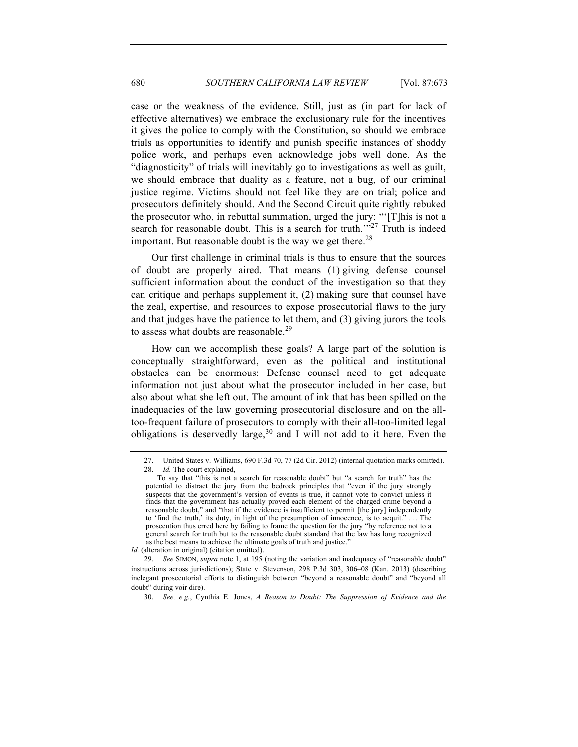case or the weakness of the evidence. Still, just as (in part for lack of effective alternatives) we embrace the exclusionary rule for the incentives it gives the police to comply with the Constitution, so should we embrace trials as opportunities to identify and punish specific instances of shoddy police work, and perhaps even acknowledge jobs well done. As the "diagnosticity" of trials will inevitably go to investigations as well as guilt, we should embrace that duality as a feature, not a bug, of our criminal justice regime. Victims should not feel like they are on trial; police and prosecutors definitely should. And the Second Circuit quite rightly rebuked the prosecutor who, in rebuttal summation, urged the jury: "'[T]his is not a search for reasonable doubt. This is a search for truth.'"<sup>27</sup> Truth is indeed important. But reasonable doubt is the way we get there.<sup>28</sup>

Our first challenge in criminal trials is thus to ensure that the sources of doubt are properly aired. That means (1) giving defense counsel sufficient information about the conduct of the investigation so that they can critique and perhaps supplement it, (2) making sure that counsel have the zeal, expertise, and resources to expose prosecutorial flaws to the jury and that judges have the patience to let them, and (3) giving jurors the tools to assess what doubts are reasonable.<sup>29</sup>

How can we accomplish these goals? A large part of the solution is conceptually straightforward, even as the political and institutional obstacles can be enormous: Defense counsel need to get adequate information not just about what the prosecutor included in her case, but also about what she left out. The amount of ink that has been spilled on the inadequacies of the law governing prosecutorial disclosure and on the alltoo-frequent failure of prosecutors to comply with their all-too-limited legal obligations is deservedly large,  $30$  and I will not add to it here. Even the

*Id.* (alteration in original) (citation omitted).

29. *See* SIMON, *supra* note 1, at 195 (noting the variation and inadequacy of "reasonable doubt" instructions across jurisdictions); State v. Stevenson, 298 P.3d 303, 306–08 (Kan. 2013) (describing inelegant prosecutorial efforts to distinguish between "beyond a reasonable doubt" and "beyond all doubt" during voir dire).

30. *See, e.g.*, Cynthia E. Jones, *A Reason to Doubt: The Suppression of Evidence and the* 

<sup>27.</sup> United States v. Williams, 690 F.3d 70, 77 (2d Cir. 2012) (internal quotation marks omitted). 28. *Id.* The court explained,

To say that "this is not a search for reasonable doubt" but "a search for truth" has the potential to distract the jury from the bedrock principles that "even if the jury strongly suspects that the government's version of events is true, it cannot vote to convict unless it finds that the government has actually proved each element of the charged crime beyond a reasonable doubt," and "that if the evidence is insufficient to permit [the jury] independently to 'find the truth,' its duty, in light of the presumption of innocence, is to acquit." . . . The prosecution thus erred here by failing to frame the question for the jury "by reference not to a general search for truth but to the reasonable doubt standard that the law has long recognized as the best means to achieve the ultimate goals of truth and justice."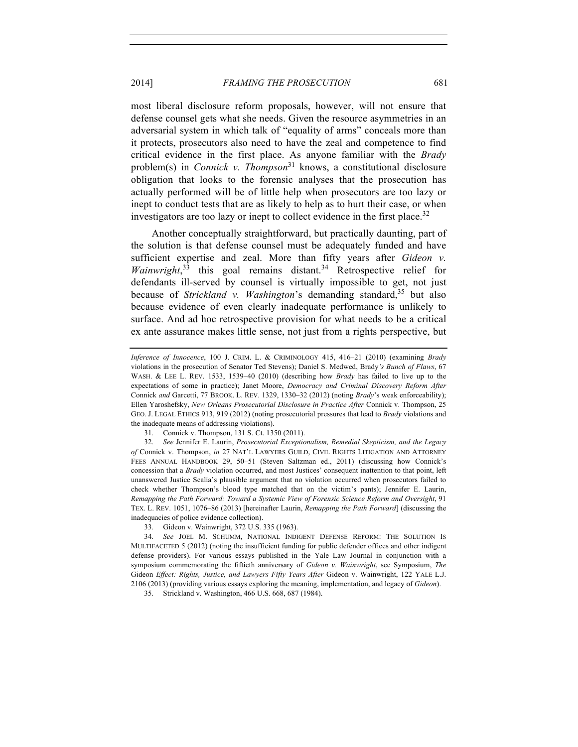most liberal disclosure reform proposals, however, will not ensure that defense counsel gets what she needs. Given the resource asymmetries in an adversarial system in which talk of "equality of arms" conceals more than it protects, prosecutors also need to have the zeal and competence to find critical evidence in the first place. As anyone familiar with the *Brady* problem(s) in *Connick v. Thompson*<sup>31</sup> knows, a constitutional disclosure obligation that looks to the forensic analyses that the prosecution has actually performed will be of little help when prosecutors are too lazy or inept to conduct tests that are as likely to help as to hurt their case, or when investigators are too lazy or inept to collect evidence in the first place.<sup>32</sup>

Another conceptually straightforward, but practically daunting, part of the solution is that defense counsel must be adequately funded and have sufficient expertise and zeal. More than fifty years after *Gideon v.*  Wainwright,<sup>33</sup> this goal remains distant.<sup>34</sup> Retrospective relief for defendants ill-served by counsel is virtually impossible to get, not just because of *Strickland v. Washington*'s demanding standard, <sup>35</sup> but also because evidence of even clearly inadequate performance is unlikely to surface. And ad hoc retrospective provision for what needs to be a critical ex ante assurance makes little sense, not just from a rights perspective, but

32. *See* Jennifer E. Laurin, *Prosecutorial Exceptionalism, Remedial Skepticism, and the Legacy of* Connick v. Thompson, *in* 27 NAT'L LAWYERS GUILD, CIVIL RIGHTS LITIGATION AND ATTORNEY FEES ANNUAL HANDBOOK 29, 50–51 (Steven Saltzman ed., 2011) (discussing how Connick's concession that a *Brady* violation occurred, and most Justices' consequent inattention to that point, left unanswered Justice Scalia's plausible argument that no violation occurred when prosecutors failed to check whether Thompson's blood type matched that on the victim's pants); Jennifer E. Laurin, *Remapping the Path Forward: Toward a Systemic View of Forensic Science Reform and Oversight*, 91 TEX. L. REV. 1051, 1076–86 (2013) [hereinafter Laurin, *Remapping the Path Forward*] (discussing the inadequacies of police evidence collection).

35. Strickland v. Washington, 466 U.S. 668, 687 (1984).

*Inference of Innocence*, 100 J. CRIM. L. & CRIMINOLOGY 415, 416–21 (2010) (examining *Brady* violations in the prosecution of Senator Ted Stevens); Daniel S. Medwed, Brady*'s Bunch of Flaws*, 67 WASH. & LEE L. REV. 1533, 1539–40 (2010) (describing how *Brady* has failed to live up to the expectations of some in practice); Janet Moore, *Democracy and Criminal Discovery Reform After* Connick *and* Garcetti, 77 BROOK. L. REV. 1329, 1330–32 (2012) (noting *Brady*'s weak enforceability); Ellen Yaroshefsky, *New Orleans Prosecutorial Disclosure in Practice After* Connick v. Thompson, 25 GEO. J. LEGAL ETHICS 913, 919 (2012) (noting prosecutorial pressures that lead to *Brady* violations and the inadequate means of addressing violations).

<sup>31.</sup> Connick v. Thompson, 131 S. Ct. 1350 (2011).

<sup>33.</sup> Gideon v. Wainwright, 372 U.S. 335 (1963).

<sup>34.</sup> *See* JOEL M. SCHUMM, NATIONAL INDIGENT DEFENSE REFORM: THE SOLUTION IS MULTIFACETED 5 (2012) (noting the insufficient funding for public defender offices and other indigent defense providers). For various essays published in the Yale Law Journal in conjunction with a symposium commemorating the fiftieth anniversary of *Gideon v. Wainwright*, see Symposium, *The*  Gideon *Effect: Rights, Justice, and Lawyers Fifty Years After* Gideon v. Wainwright, 122 YALE L.J. 2106 (2013) (providing various essays exploring the meaning, implementation, and legacy of *Gideon*).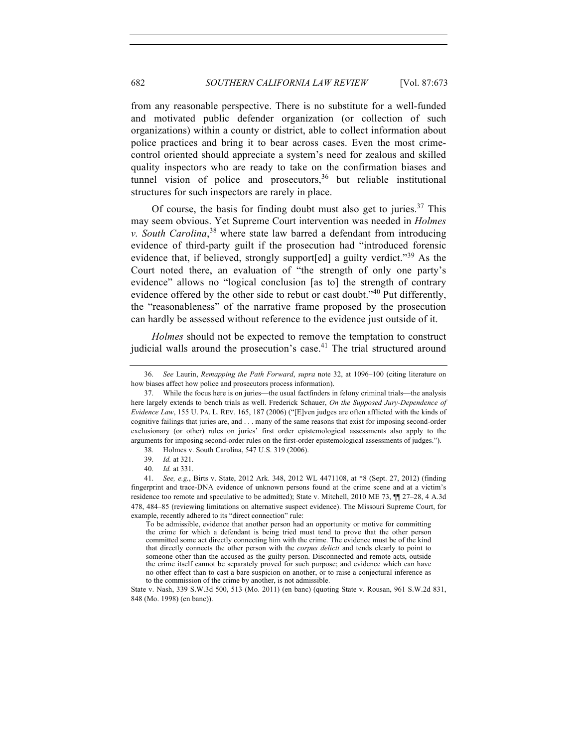from any reasonable perspective. There is no substitute for a well-funded and motivated public defender organization (or collection of such organizations) within a county or district, able to collect information about police practices and bring it to bear across cases. Even the most crimecontrol oriented should appreciate a system's need for zealous and skilled quality inspectors who are ready to take on the confirmation biases and tunnel vision of police and prosecutors,  $36$  but reliable institutional structures for such inspectors are rarely in place.

Of course, the basis for finding doubt must also get to juries. $37$  This may seem obvious. Yet Supreme Court intervention was needed in *Holmes v. South Carolina*, <sup>38</sup> where state law barred a defendant from introducing evidence of third-party guilt if the prosecution had "introduced forensic evidence that, if believed, strongly support[ed] a guilty verdict."<sup>39</sup> As the Court noted there, an evaluation of "the strength of only one party's evidence" allows no "logical conclusion [as to] the strength of contrary evidence offered by the other side to rebut or cast doubt." $40$  Put differently, the "reasonableness" of the narrative frame proposed by the prosecution can hardly be assessed without reference to the evidence just outside of it.

*Holmes* should not be expected to remove the temptation to construct judicial walls around the prosecution's case.<sup>41</sup> The trial structured around

<sup>36.</sup> *See* Laurin, *Remapping the Path Forward*, *supra* note 32, at 1096–100 (citing literature on how biases affect how police and prosecutors process information).

<sup>37.</sup> While the focus here is on juries—the usual factfinders in felony criminal trials—the analysis here largely extends to bench trials as well. Frederick Schauer, *On the Supposed Jury-Dependence of Evidence Law*, 155 U. PA. L. REV. 165, 187 (2006) ("[E]ven judges are often afflicted with the kinds of cognitive failings that juries are, and . . . many of the same reasons that exist for imposing second-order exclusionary (or other) rules on juries' first order epistemological assessments also apply to the arguments for imposing second-order rules on the first-order epistemological assessments of judges.").

<sup>38.</sup> Holmes v. South Carolina, 547 U.S. 319 (2006).

<sup>39.</sup> *Id.* at 321.

<sup>40.</sup> *Id.* at 331.

<sup>41.</sup> *See, e.g.*, Birts v. State, 2012 Ark. 348, 2012 WL 4471108, at \*8 (Sept. 27, 2012) (finding fingerprint and trace-DNA evidence of unknown persons found at the crime scene and at a victim's residence too remote and speculative to be admitted); State v. Mitchell, 2010 ME 73, ¶¶ 27–28, 4 A.3d 478, 484–85 (reviewing limitations on alternative suspect evidence). The Missouri Supreme Court, for example, recently adhered to its "direct connection" rule:

To be admissible, evidence that another person had an opportunity or motive for committing the crime for which a defendant is being tried must tend to prove that the other person committed some act directly connecting him with the crime. The evidence must be of the kind that directly connects the other person with the *corpus delicti* and tends clearly to point to someone other than the accused as the guilty person. Disconnected and remote acts, outside the crime itself cannot be separately proved for such purpose; and evidence which can have no other effect than to cast a bare suspicion on another, or to raise a conjectural inference as to the commission of the crime by another, is not admissible.

State v. Nash, 339 S.W.3d 500, 513 (Mo. 2011) (en banc) (quoting State v. Rousan, 961 S.W.2d 831, 848 (Mo. 1998) (en banc)).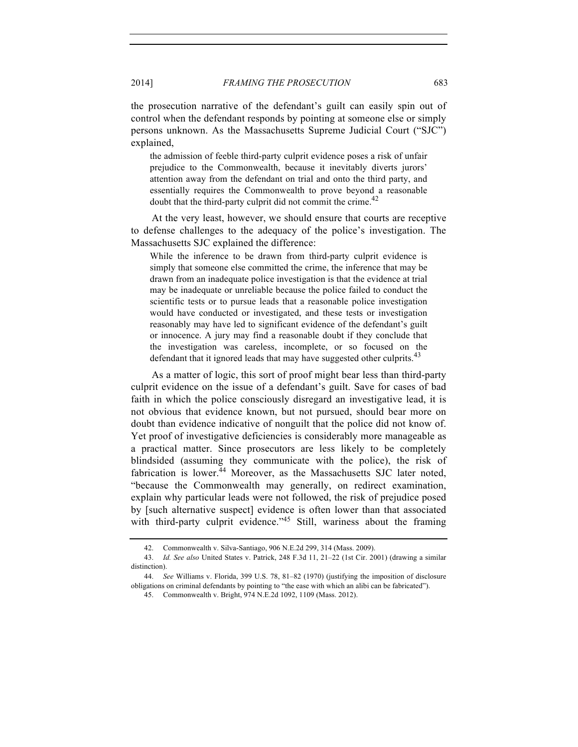the prosecution narrative of the defendant's guilt can easily spin out of control when the defendant responds by pointing at someone else or simply persons unknown. As the Massachusetts Supreme Judicial Court ("SJC") explained,

the admission of feeble third-party culprit evidence poses a risk of unfair prejudice to the Commonwealth, because it inevitably diverts jurors' attention away from the defendant on trial and onto the third party, and essentially requires the Commonwealth to prove beyond a reasonable doubt that the third-party culprit did not commit the crime. $^{42}$ 

At the very least, however, we should ensure that courts are receptive to defense challenges to the adequacy of the police's investigation. The Massachusetts SJC explained the difference:

While the inference to be drawn from third-party culprit evidence is simply that someone else committed the crime, the inference that may be drawn from an inadequate police investigation is that the evidence at trial may be inadequate or unreliable because the police failed to conduct the scientific tests or to pursue leads that a reasonable police investigation would have conducted or investigated, and these tests or investigation reasonably may have led to significant evidence of the defendant's guilt or innocence. A jury may find a reasonable doubt if they conclude that the investigation was careless, incomplete, or so focused on the defendant that it ignored leads that may have suggested other culprits.<sup>43</sup>

As a matter of logic, this sort of proof might bear less than third-party culprit evidence on the issue of a defendant's guilt. Save for cases of bad faith in which the police consciously disregard an investigative lead, it is not obvious that evidence known, but not pursued, should bear more on doubt than evidence indicative of nonguilt that the police did not know of. Yet proof of investigative deficiencies is considerably more manageable as a practical matter. Since prosecutors are less likely to be completely blindsided (assuming they communicate with the police), the risk of fabrication is lower.<sup>44</sup> Moreover, as the Massachusetts SJC later noted, "because the Commonwealth may generally, on redirect examination, explain why particular leads were not followed, the risk of prejudice posed by [such alternative suspect] evidence is often lower than that associated with third-party culprit evidence."<sup>45</sup> Still, wariness about the framing

<sup>42.</sup> Commonwealth v. Silva-Santiago, 906 N.E.2d 299, 314 (Mass. 2009).

<sup>43.</sup> *Id. See also* United States v. Patrick, 248 F.3d 11, 21–22 (1st Cir. 2001) (drawing a similar distinction).

<sup>44.</sup> *See* Williams v. Florida, 399 U.S. 78, 81–82 (1970) (justifying the imposition of disclosure obligations on criminal defendants by pointing to "the ease with which an alibi can be fabricated").

<sup>45.</sup> Commonwealth v. Bright, 974 N.E.2d 1092, 1109 (Mass. 2012).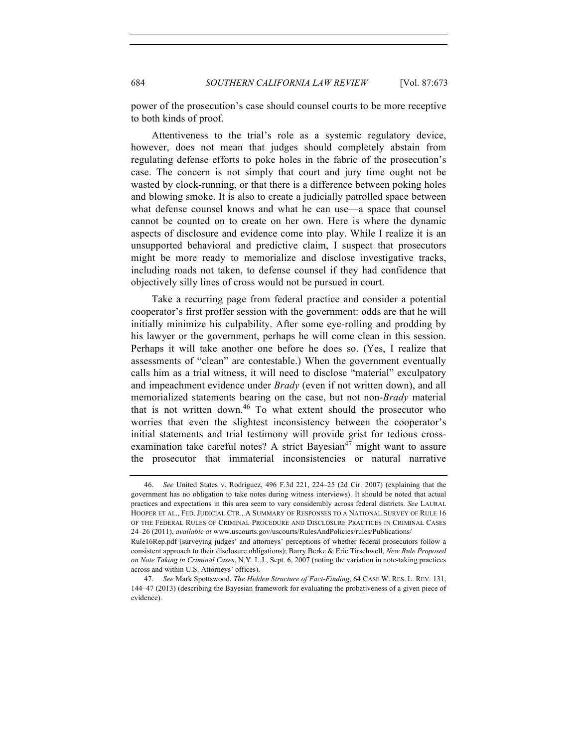power of the prosecution's case should counsel courts to be more receptive to both kinds of proof.

Attentiveness to the trial's role as a systemic regulatory device, however, does not mean that judges should completely abstain from regulating defense efforts to poke holes in the fabric of the prosecution's case. The concern is not simply that court and jury time ought not be wasted by clock-running, or that there is a difference between poking holes and blowing smoke. It is also to create a judicially patrolled space between what defense counsel knows and what he can use—a space that counsel cannot be counted on to create on her own. Here is where the dynamic aspects of disclosure and evidence come into play. While I realize it is an unsupported behavioral and predictive claim, I suspect that prosecutors might be more ready to memorialize and disclose investigative tracks, including roads not taken, to defense counsel if they had confidence that objectively silly lines of cross would not be pursued in court.

Take a recurring page from federal practice and consider a potential cooperator's first proffer session with the government: odds are that he will initially minimize his culpability. After some eye-rolling and prodding by his lawyer or the government, perhaps he will come clean in this session. Perhaps it will take another one before he does so. (Yes, I realize that assessments of "clean" are contestable.) When the government eventually calls him as a trial witness, it will need to disclose "material" exculpatory and impeachment evidence under *Brady* (even if not written down), and all memorialized statements bearing on the case, but not non-*Brady* material that is not written down. $46$  To what extent should the prosecutor who worries that even the slightest inconsistency between the cooperator's initial statements and trial testimony will provide grist for tedious crossexamination take careful notes? A strict Bayesian<sup>47</sup> might want to assure the prosecutor that immaterial inconsistencies or natural narrative

<sup>46.</sup> *See* United States v. Rodriguez, 496 F.3d 221, 224–25 (2d Cir. 2007) (explaining that the government has no obligation to take notes during witness interviews). It should be noted that actual practices and expectations in this area seem to vary considerably across federal districts. *See* LAURAL HOOPER ET AL., FED. JUDICIAL CTR., A SUMMARY OF RESPONSES TO A NATIONAL SURVEY OF RULE 16 OF THE FEDERAL RULES OF CRIMINAL PROCEDURE AND DISCLOSURE PRACTICES IN CRIMINAL CASES 24–26 (2011), *available at* www.uscourts.gov/uscourts/RulesAndPolicies/rules/Publications/

Rule16Rep.pdf (surveying judges' and attorneys' perceptions of whether federal prosecutors follow a consistent approach to their disclosure obligations); Barry Berke & Eric Tirschwell, *New Rule Proposed on Note Taking in Criminal Cases*, N.Y. L.J., Sept. 6, 2007 (noting the variation in note-taking practices across and within U.S. Attorneys' offices).

<sup>47.</sup> *See* Mark Spottswood, *The Hidden Structure of Fact-Finding*, 64 CASE W. RES. L. REV. 131, 144–47 (2013) (describing the Bayesian framework for evaluating the probativeness of a given piece of evidence).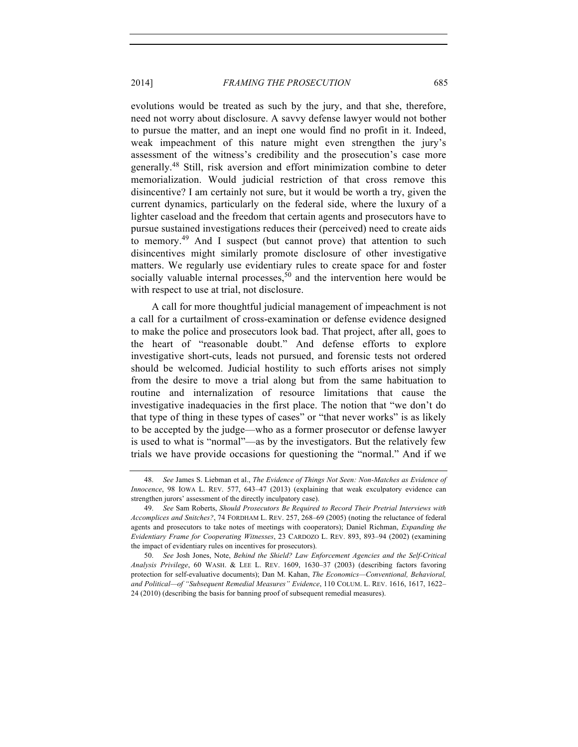evolutions would be treated as such by the jury, and that she, therefore, need not worry about disclosure. A savvy defense lawyer would not bother to pursue the matter, and an inept one would find no profit in it. Indeed, weak impeachment of this nature might even strengthen the jury's assessment of the witness's credibility and the prosecution's case more generally.<sup>48</sup> Still, risk aversion and effort minimization combine to deter memorialization. Would judicial restriction of that cross remove this disincentive? I am certainly not sure, but it would be worth a try, given the current dynamics, particularly on the federal side, where the luxury of a lighter caseload and the freedom that certain agents and prosecutors have to pursue sustained investigations reduces their (perceived) need to create aids to memory.<sup>49</sup> And I suspect (but cannot prove) that attention to such disincentives might similarly promote disclosure of other investigative matters. We regularly use evidentiary rules to create space for and foster socially valuable internal processes,  $50$  and the intervention here would be with respect to use at trial, not disclosure.

A call for more thoughtful judicial management of impeachment is not a call for a curtailment of cross-examination or defense evidence designed to make the police and prosecutors look bad. That project, after all, goes to the heart of "reasonable doubt." And defense efforts to explore investigative short-cuts, leads not pursued, and forensic tests not ordered should be welcomed. Judicial hostility to such efforts arises not simply from the desire to move a trial along but from the same habituation to routine and internalization of resource limitations that cause the investigative inadequacies in the first place. The notion that "we don't do that type of thing in these types of cases" or "that never works" is as likely to be accepted by the judge—who as a former prosecutor or defense lawyer is used to what is "normal"—as by the investigators. But the relatively few trials we have provide occasions for questioning the "normal." And if we

<sup>48.</sup> *See* James S. Liebman et al., *The Evidence of Things Not Seen: Non-Matches as Evidence of Innocence*, 98 IOWA L. REV. 577, 643–47 (2013) (explaining that weak exculpatory evidence can strengthen jurors' assessment of the directly inculpatory case).

<sup>49.</sup> *See* Sam Roberts, *Should Prosecutors Be Required to Record Their Pretrial Interviews with Accomplices and Snitches?*, 74 FORDHAM L. REV. 257, 268–69 (2005) (noting the reluctance of federal agents and prosecutors to take notes of meetings with cooperators); Daniel Richman, *Expanding the Evidentiary Frame for Cooperating Witnesses*, 23 CARDOZO L. REV. 893, 893–94 (2002) (examining the impact of evidentiary rules on incentives for prosecutors).

<sup>50.</sup> *See* Josh Jones, Note, *Behind the Shield? Law Enforcement Agencies and the Self-Critical Analysis Privilege*, 60 WASH. & LEE L. REV. 1609, 1630–37 (2003) (describing factors favoring protection for self-evaluative documents); Dan M. Kahan, *The Economics—Conventional, Behavioral, and Political—of "Subsequent Remedial Measures" Evidence*, 110 COLUM. L. REV. 1616, 1617, 1622– 24 (2010) (describing the basis for banning proof of subsequent remedial measures).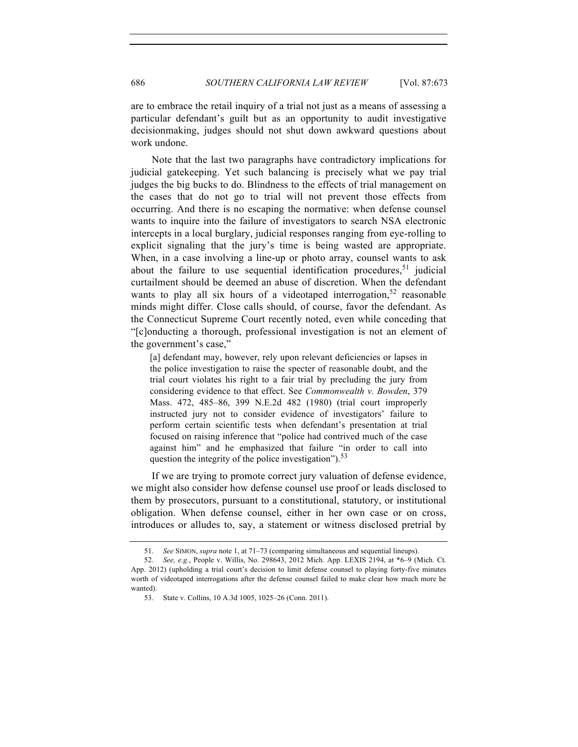are to embrace the retail inquiry of a trial not just as a means of assessing a particular defendant's guilt but as an opportunity to audit investigative decisionmaking, judges should not shut down awkward questions about work undone.

Note that the last two paragraphs have contradictory implications for judicial gatekeeping. Yet such balancing is precisely what we pay trial judges the big bucks to do. Blindness to the effects of trial management on the cases that do not go to trial will not prevent those effects from occurring. And there is no escaping the normative: when defense counsel wants to inquire into the failure of investigators to search NSA electronic intercepts in a local burglary, judicial responses ranging from eye-rolling to explicit signaling that the jury's time is being wasted are appropriate. When, in a case involving a line-up or photo array, counsel wants to ask about the failure to use sequential identification procedures,  $51$  judicial curtailment should be deemed an abuse of discretion. When the defendant wants to play all six hours of a videotaped interrogation,  $52$  reasonable minds might differ. Close calls should, of course, favor the defendant. As the Connecticut Supreme Court recently noted, even while conceding that "[c]onducting a thorough, professional investigation is not an element of the government's case,"

[a] defendant may, however, rely upon relevant deficiencies or lapses in the police investigation to raise the specter of reasonable doubt, and the trial court violates his right to a fair trial by precluding the jury from considering evidence to that effect. See *Commonwealth v. Bowden*, 379 Mass. 472, 485–86, 399 N.E.2d 482 (1980) (trial court improperly instructed jury not to consider evidence of investigators' failure to perform certain scientific tests when defendant's presentation at trial focused on raising inference that "police had contrived much of the case against him" and he emphasized that failure "in order to call into question the integrity of the police investigation").<sup>53</sup>

If we are trying to promote correct jury valuation of defense evidence, we might also consider how defense counsel use proof or leads disclosed to them by prosecutors, pursuant to a constitutional, statutory, or institutional obligation. When defense counsel, either in her own case or on cross, introduces or alludes to, say, a statement or witness disclosed pretrial by

<sup>51.</sup> *See* SIMON, *supra* note 1, at 71–73 (comparing simultaneous and sequential lineups).

<sup>52.</sup> *See, e.g.*, People v. Willis, No. 298643, 2012 Mich. App. LEXIS 2194, at \*6–9 (Mich. Ct. App. 2012) (upholding a trial court's decision to limit defense counsel to playing forty-five minutes worth of videotaped interrogations after the defense counsel failed to make clear how much more he wanted).

<sup>53.</sup> State v. Collins, 10 A.3d 1005, 1025–26 (Conn. 2011).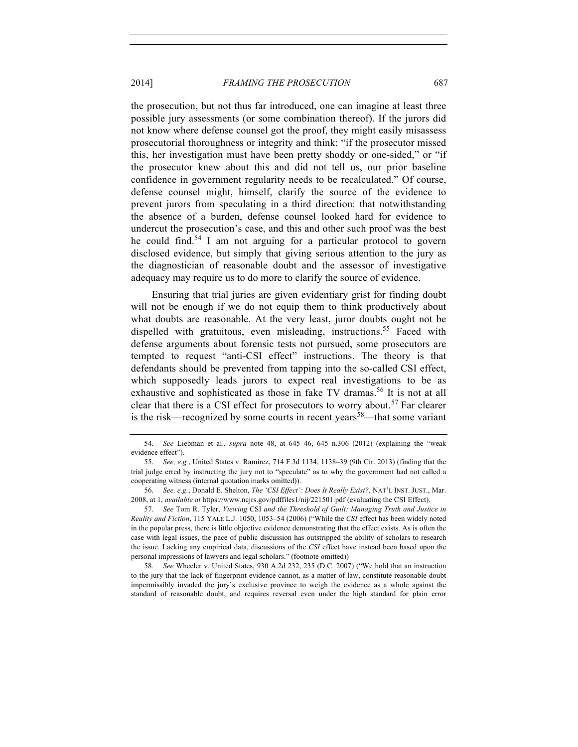the prosecution, but not thus far introduced, one can imagine at least three possible jury assessments (or some combination thereof). If the jurors did not know where defense counsel got the proof, they might easily misassess prosecutorial thoroughness or integrity and think: "if the prosecutor missed this, her investigation must have been pretty shoddy or one-sided," or "if the prosecutor knew about this and did not tell us, our prior baseline confidence in government regularity needs to be recalculated." Of course, defense counsel might, himself, clarify the source of the evidence to prevent jurors from speculating in a third direction: that notwithstanding the absence of a burden, defense counsel looked hard for evidence to undercut the prosecution's case, and this and other such proof was the best he could find.<sup>54</sup> I am not arguing for a particular protocol to govern disclosed evidence, but simply that giving serious attention to the jury as the diagnostician of reasonable doubt and the assessor of investigative adequacy may require us to do more to clarify the source of evidence.

Ensuring that trial juries are given evidentiary grist for finding doubt will not be enough if we do not equip them to think productively about what doubts are reasonable. At the very least, juror doubts ought not be dispelled with gratuitous, even misleading, instructions.<sup>55</sup> Faced with defense arguments about forensic tests not pursued, some prosecutors are tempted to request "anti-CSI effect" instructions. The theory is that defendants should be prevented from tapping into the so-called CSI effect, which supposedly leads jurors to expect real investigations to be as exhaustive and sophisticated as those in fake TV dramas. <sup>56</sup> It is not at all clear that there is a CSI effect for prosecutors to worry about.<sup>57</sup> Far clearer is the risk—recognized by some courts in recent years<sup>58</sup>—that some variant

<sup>54.</sup> *See* Liebman et al., *supra* note 48, at 645–46, 645 n.306 (2012) (explaining the "weak evidence effect").

<sup>55.</sup> *See, e.g.*, United States v. Ramirez, 714 F.3d 1134, 1138–39 (9th Cir. 2013) (finding that the trial judge erred by instructing the jury not to "speculate" as to why the government had not called a cooperating witness (internal quotation marks omitted)).

<sup>56.</sup> *See, e.g.*, Donald E. Shelton, *The 'CSI Effect': Does It Really Exist?*, NAT'L INST. JUST., Mar. 2008, at 1, *available at* https://www.ncjrs.gov/pdffiles1/nij/221501.pdf (evaluating the CSI Effect).

<sup>57.</sup> *See* Tom R. Tyler, *Viewing* CSI *and the Threshold of Guilt: Managing Truth and Justice in Reality and Fiction*, 115 YALE L.J. 1050, 1053–54 (2006) ("While the *CSI* effect has been widely noted in the popular press, there is little objective evidence demonstrating that the effect exists. As is often the case with legal issues, the pace of public discussion has outstripped the ability of scholars to research the issue. Lacking any empirical data, discussions of the *CSI* effect have instead been based upon the personal impressions of lawyers and legal scholars." (footnote omitted))

<sup>58.</sup> *See* Wheeler v. United States, 930 A.2d 232, 235 (D.C. 2007) ("We hold that an instruction to the jury that the lack of fingerprint evidence cannot, as a matter of law, constitute reasonable doubt impermissibly invaded the jury's exclusive province to weigh the evidence as a whole against the standard of reasonable doubt, and requires reversal even under the high standard for plain error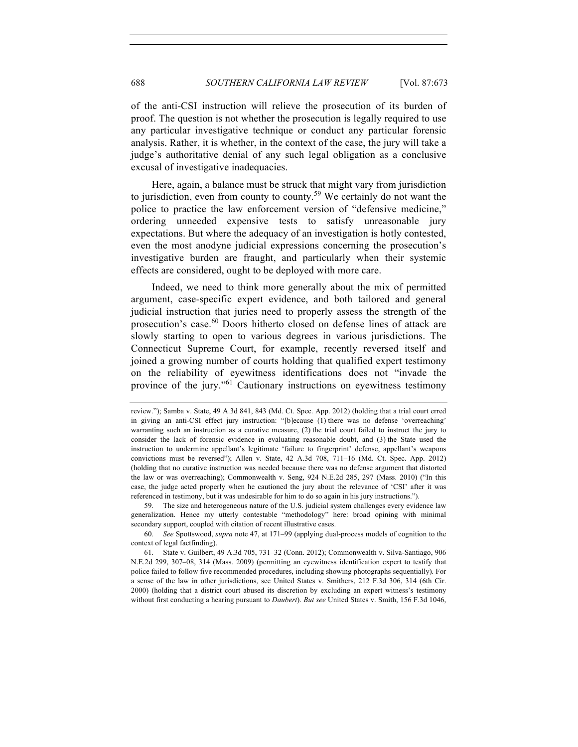of the anti-CSI instruction will relieve the prosecution of its burden of proof. The question is not whether the prosecution is legally required to use any particular investigative technique or conduct any particular forensic analysis. Rather, it is whether, in the context of the case, the jury will take a judge's authoritative denial of any such legal obligation as a conclusive excusal of investigative inadequacies.

Here, again, a balance must be struck that might vary from jurisdiction to jurisdiction, even from county to county.<sup>59</sup> We certainly do not want the police to practice the law enforcement version of "defensive medicine," ordering unneeded expensive tests to satisfy unreasonable jury expectations. But where the adequacy of an investigation is hotly contested, even the most anodyne judicial expressions concerning the prosecution's investigative burden are fraught, and particularly when their systemic effects are considered, ought to be deployed with more care.

Indeed, we need to think more generally about the mix of permitted argument, case-specific expert evidence, and both tailored and general judicial instruction that juries need to properly assess the strength of the prosecution's case.<sup>60</sup> Doors hitherto closed on defense lines of attack are slowly starting to open to various degrees in various jurisdictions. The Connecticut Supreme Court, for example, recently reversed itself and joined a growing number of courts holding that qualified expert testimony on the reliability of eyewitness identifications does not "invade the province of the jury."<sup>61</sup> Cautionary instructions on eyewitness testimony

59. The size and heterogeneous nature of the U.S. judicial system challenges every evidence law generalization. Hence my utterly contestable "methodology" here: broad opining with minimal secondary support, coupled with citation of recent illustrative cases.

review."); Samba v. State, 49 A.3d 841, 843 (Md. Ct. Spec. App. 2012) (holding that a trial court erred in giving an anti-CSI effect jury instruction: "[b]ecause (1) there was no defense 'overreaching' warranting such an instruction as a curative measure, (2) the trial court failed to instruct the jury to consider the lack of forensic evidence in evaluating reasonable doubt, and (3) the State used the instruction to undermine appellant's legitimate 'failure to fingerprint' defense, appellant's weapons convictions must be reversed"); Allen v. State, 42 A.3d 708, 711–16 (Md. Ct. Spec. App. 2012) (holding that no curative instruction was needed because there was no defense argument that distorted the law or was overreaching); Commonwealth v. Seng, 924 N.E.2d 285, 297 (Mass. 2010) ("In this case, the judge acted properly when he cautioned the jury about the relevance of 'CSI' after it was referenced in testimony, but it was undesirable for him to do so again in his jury instructions.").

<sup>60.</sup> *See* Spottswood, *supra* note 47, at 171–99 (applying dual-process models of cognition to the context of legal factfinding).

<sup>61.</sup> State v. Guilbert, 49 A.3d 705, 731–32 (Conn. 2012); Commonwealth v. Silva-Santiago, 906 N.E.2d 299, 307–08, 314 (Mass. 2009) (permitting an eyewitness identification expert to testify that police failed to follow five recommended procedures, including showing photographs sequentially). For a sense of the law in other jurisdictions, see United States v. Smithers, 212 F.3d 306, 314 (6th Cir. 2000) (holding that a district court abused its discretion by excluding an expert witness's testimony without first conducting a hearing pursuant to *Daubert*). *But see* United States v. Smith, 156 F.3d 1046,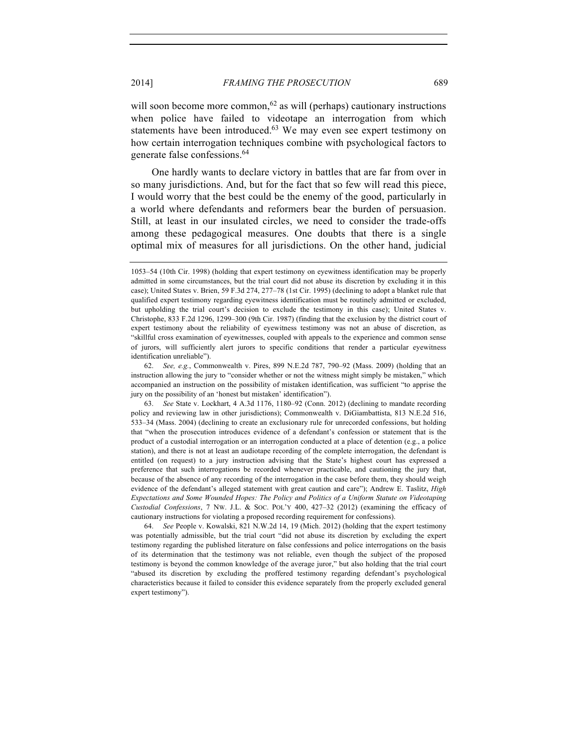will soon become more common,<sup>62</sup> as will (perhaps) cautionary instructions when police have failed to videotape an interrogation from which statements have been introduced. $63$  We may even see expert testimony on how certain interrogation techniques combine with psychological factors to generate false confessions.<sup>64</sup>

One hardly wants to declare victory in battles that are far from over in so many jurisdictions. And, but for the fact that so few will read this piece, I would worry that the best could be the enemy of the good, particularly in a world where defendants and reformers bear the burden of persuasion. Still, at least in our insulated circles, we need to consider the trade-offs among these pedagogical measures. One doubts that there is a single optimal mix of measures for all jurisdictions. On the other hand, judicial

64. *See* People v. Kowalski, 821 N.W.2d 14, 19 (Mich. 2012) (holding that the expert testimony was potentially admissible, but the trial court "did not abuse its discretion by excluding the expert testimony regarding the published literature on false confessions and police interrogations on the basis of its determination that the testimony was not reliable, even though the subject of the proposed testimony is beyond the common knowledge of the average juror," but also holding that the trial court "abused its discretion by excluding the proffered testimony regarding defendant's psychological characteristics because it failed to consider this evidence separately from the properly excluded general expert testimony").

<sup>1053–54</sup> (10th Cir. 1998) (holding that expert testimony on eyewitness identification may be properly admitted in some circumstances, but the trial court did not abuse its discretion by excluding it in this case); United States v. Brien, 59 F.3d 274, 277–78 (1st Cir. 1995) (declining to adopt a blanket rule that qualified expert testimony regarding eyewitness identification must be routinely admitted or excluded, but upholding the trial court's decision to exclude the testimony in this case); United States v. Christophe, 833 F.2d 1296, 1299–300 (9th Cir. 1987) (finding that the exclusion by the district court of expert testimony about the reliability of eyewitness testimony was not an abuse of discretion, as "skillful cross examination of eyewitnesses, coupled with appeals to the experience and common sense of jurors, will sufficiently alert jurors to specific conditions that render a particular eyewitness identification unreliable").

<sup>62.</sup> *See, e.g.*, Commonwealth v. Pires, 899 N.E.2d 787, 790–92 (Mass. 2009) (holding that an instruction allowing the jury to "consider whether or not the witness might simply be mistaken," which accompanied an instruction on the possibility of mistaken identification, was sufficient "to apprise the jury on the possibility of an 'honest but mistaken' identification").

<sup>63.</sup> *See* State v. Lockhart, 4 A.3d 1176, 1180–92 (Conn. 2012) (declining to mandate recording policy and reviewing law in other jurisdictions); Commonwealth v. DiGiambattista, 813 N.E.2d 516, 533–34 (Mass. 2004) (declining to create an exclusionary rule for unrecorded confessions, but holding that "when the prosecution introduces evidence of a defendant's confession or statement that is the product of a custodial interrogation or an interrogation conducted at a place of detention (e.g., a police station), and there is not at least an audiotape recording of the complete interrogation, the defendant is entitled (on request) to a jury instruction advising that the State's highest court has expressed a preference that such interrogations be recorded whenever practicable, and cautioning the jury that, because of the absence of any recording of the interrogation in the case before them, they should weigh evidence of the defendant's alleged statement with great caution and care"); Andrew E. Taslitz, *High Expectations and Some Wounded Hopes: The Policy and Politics of a Uniform Statute on Videotaping Custodial Confessions*, 7 NW. J.L. & SOC. POL'Y 400, 427–32 (2012) (examining the efficacy of cautionary instructions for violating a proposed recording requirement for confessions).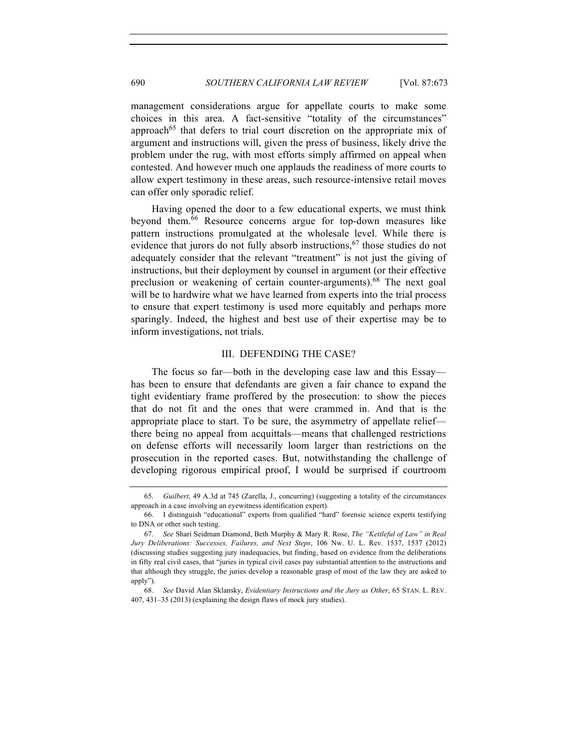management considerations argue for appellate courts to make some choices in this area. A fact-sensitive "totality of the circumstances" approach<sup>65</sup> that defers to trial court discretion on the appropriate mix of argument and instructions will, given the press of business, likely drive the problem under the rug, with most efforts simply affirmed on appeal when contested. And however much one applauds the readiness of more courts to allow expert testimony in these areas, such resource-intensive retail moves can offer only sporadic relief.

Having opened the door to a few educational experts, we must think beyond them.66 Resource concerns argue for top-down measures like pattern instructions promulgated at the wholesale level. While there is evidence that jurors do not fully absorb instructions,  $67$  those studies do not adequately consider that the relevant "treatment" is not just the giving of instructions, but their deployment by counsel in argument (or their effective preclusion or weakening of certain counter-arguments).<sup>68</sup> The next goal will be to hardwire what we have learned from experts into the trial process to ensure that expert testimony is used more equitably and perhaps more sparingly. Indeed, the highest and best use of their expertise may be to inform investigations, not trials.

#### III. DEFENDING THE CASE?

The focus so far—both in the developing case law and this Essay has been to ensure that defendants are given a fair chance to expand the tight evidentiary frame proffered by the prosecution: to show the pieces that do not fit and the ones that were crammed in. And that is the appropriate place to start. To be sure, the asymmetry of appellate relief there being no appeal from acquittals—means that challenged restrictions on defense efforts will necessarily loom larger than restrictions on the prosecution in the reported cases. But, notwithstanding the challenge of developing rigorous empirical proof, I would be surprised if courtroom

<sup>65.</sup> *Guilbert*, 49 A.3d at 745 (Zarella, J., concurring) (suggesting a totality of the circumstances approach in a case involving an eyewitness identification expert).

<sup>66.</sup> I distinguish "educational" experts from qualified "hard" forensic science experts testifying to DNA or other such testing.

<sup>67.</sup> *See* Shari Seidman Diamond, Beth Murphy & Mary R. Rose, *The "Kettleful of Law" in Real Jury Deliberations: Successes, Failures, and Next Steps*, 106 Nw. U. L. Rev. 1537, 1537 (2012) (discussing studies suggesting jury inadequacies, but finding, based on evidence from the deliberations in fifty real civil cases, that "juries in typical civil cases pay substantial attention to the instructions and that although they struggle, the juries develop a reasonable grasp of most of the law they are asked to apply").

<sup>68.</sup> *See* David Alan Sklansky, *Evidentiary Instructions and the Jury as Other*, 65 STAN. L. REV. 407, 431–35 (2013) (explaining the design flaws of mock jury studies).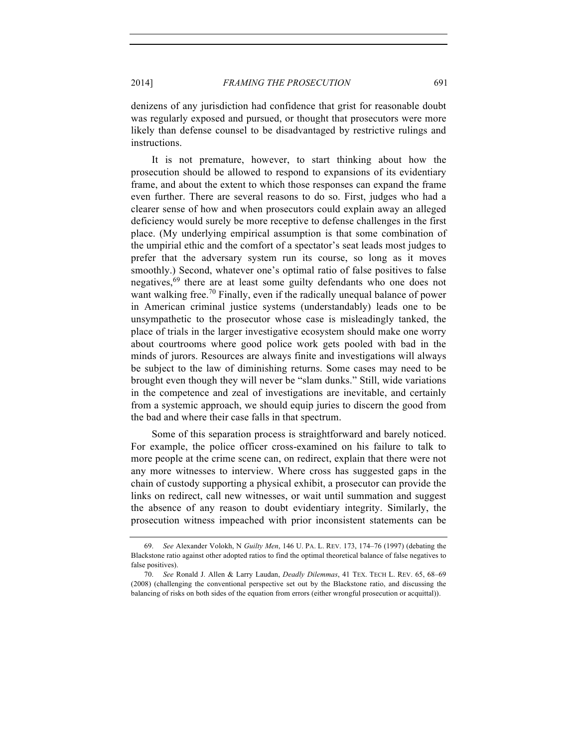denizens of any jurisdiction had confidence that grist for reasonable doubt was regularly exposed and pursued, or thought that prosecutors were more likely than defense counsel to be disadvantaged by restrictive rulings and instructions.

It is not premature, however, to start thinking about how the prosecution should be allowed to respond to expansions of its evidentiary frame, and about the extent to which those responses can expand the frame even further. There are several reasons to do so. First, judges who had a clearer sense of how and when prosecutors could explain away an alleged deficiency would surely be more receptive to defense challenges in the first place. (My underlying empirical assumption is that some combination of the umpirial ethic and the comfort of a spectator's seat leads most judges to prefer that the adversary system run its course, so long as it moves smoothly.) Second, whatever one's optimal ratio of false positives to false negatives,<sup>69</sup> there are at least some guilty defendants who one does not want walking free.<sup>70</sup> Finally, even if the radically unequal balance of power in American criminal justice systems (understandably) leads one to be unsympathetic to the prosecutor whose case is misleadingly tanked, the place of trials in the larger investigative ecosystem should make one worry about courtrooms where good police work gets pooled with bad in the minds of jurors. Resources are always finite and investigations will always be subject to the law of diminishing returns. Some cases may need to be brought even though they will never be "slam dunks." Still, wide variations in the competence and zeal of investigations are inevitable, and certainly from a systemic approach, we should equip juries to discern the good from the bad and where their case falls in that spectrum.

Some of this separation process is straightforward and barely noticed. For example, the police officer cross-examined on his failure to talk to more people at the crime scene can, on redirect, explain that there were not any more witnesses to interview. Where cross has suggested gaps in the chain of custody supporting a physical exhibit, a prosecutor can provide the links on redirect, call new witnesses, or wait until summation and suggest the absence of any reason to doubt evidentiary integrity. Similarly, the prosecution witness impeached with prior inconsistent statements can be

<sup>69.</sup> *See* Alexander Volokh, N *Guilty Men*, 146 U. PA. L. REV. 173, 174–76 (1997) (debating the Blackstone ratio against other adopted ratios to find the optimal theoretical balance of false negatives to false positives).

<sup>70.</sup> *See* Ronald J. Allen & Larry Laudan, *Deadly Dilemmas*, 41 TEX. TECH L. REV. 65, 68–69 (2008) (challenging the conventional perspective set out by the Blackstone ratio, and discussing the balancing of risks on both sides of the equation from errors (either wrongful prosecution or acquittal)).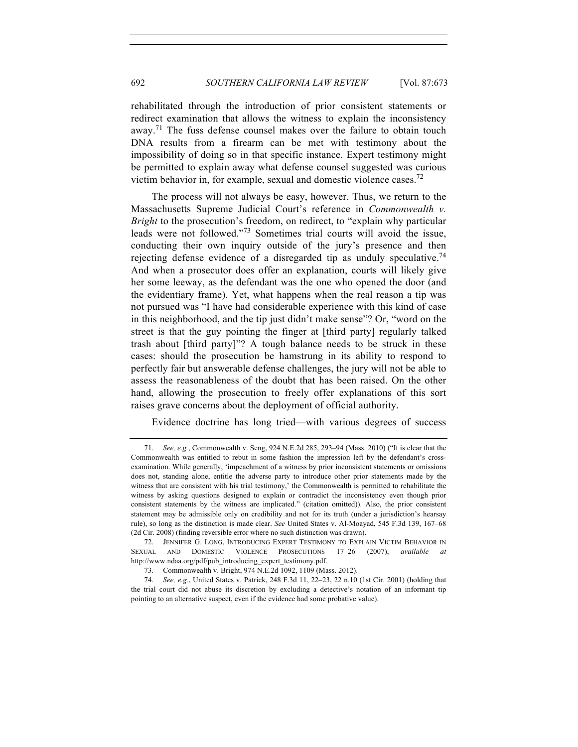rehabilitated through the introduction of prior consistent statements or redirect examination that allows the witness to explain the inconsistency away.<sup>71</sup> The fuss defense counsel makes over the failure to obtain touch DNA results from a firearm can be met with testimony about the impossibility of doing so in that specific instance. Expert testimony might be permitted to explain away what defense counsel suggested was curious victim behavior in, for example, sexual and domestic violence cases.<sup>72</sup>

The process will not always be easy, however. Thus, we return to the Massachusetts Supreme Judicial Court's reference in *Commonwealth v. Bright* to the prosecution's freedom, on redirect, to "explain why particular leads were not followed."<sup>73</sup> Sometimes trial courts will avoid the issue, conducting their own inquiry outside of the jury's presence and then rejecting defense evidence of a disregarded tip as unduly speculative.<sup>74</sup> And when a prosecutor does offer an explanation, courts will likely give her some leeway, as the defendant was the one who opened the door (and the evidentiary frame). Yet, what happens when the real reason a tip was not pursued was "I have had considerable experience with this kind of case in this neighborhood, and the tip just didn't make sense"? Or, "word on the street is that the guy pointing the finger at [third party] regularly talked trash about [third party]"? A tough balance needs to be struck in these cases: should the prosecution be hamstrung in its ability to respond to perfectly fair but answerable defense challenges, the jury will not be able to assess the reasonableness of the doubt that has been raised. On the other hand, allowing the prosecution to freely offer explanations of this sort raises grave concerns about the deployment of official authority.

Evidence doctrine has long tried—with various degrees of success

<sup>71.</sup> *See, e.g.*, Commonwealth v. Seng, 924 N.E.2d 285, 293–94 (Mass. 2010) ("It is clear that the Commonwealth was entitled to rebut in some fashion the impression left by the defendant's crossexamination. While generally, 'impeachment of a witness by prior inconsistent statements or omissions does not, standing alone, entitle the adverse party to introduce other prior statements made by the witness that are consistent with his trial testimony,' the Commonwealth is permitted to rehabilitate the witness by asking questions designed to explain or contradict the inconsistency even though prior consistent statements by the witness are implicated." (citation omitted)). Also, the prior consistent statement may be admissible only on credibility and not for its truth (under a jurisdiction's hearsay rule), so long as the distinction is made clear. *See* United States v. Al-Moayad, 545 F.3d 139, 167–68 (2d Cir. 2008) (finding reversible error where no such distinction was drawn).

<sup>72.</sup> JENNIFER G. LONG, INTRODUCING EXPERT TESTIMONY TO EXPLAIN VICTIM BEHAVIOR IN SEXUAL AND DOMESTIC VIOLENCE PROSECUTIONS 17–26 (2007), *available at* http://www.ndaa.org/pdf/pub\_introducing\_expert\_testimony.pdf.

<sup>73.</sup> Commonwealth v. Bright, 974 N.E.2d 1092, 1109 (Mass. 2012).

<sup>74.</sup> *See, e.g.*, United States v. Patrick, 248 F.3d 11, 22–23, 22 n.10 (1st Cir. 2001) (holding that the trial court did not abuse its discretion by excluding a detective's notation of an informant tip pointing to an alternative suspect, even if the evidence had some probative value).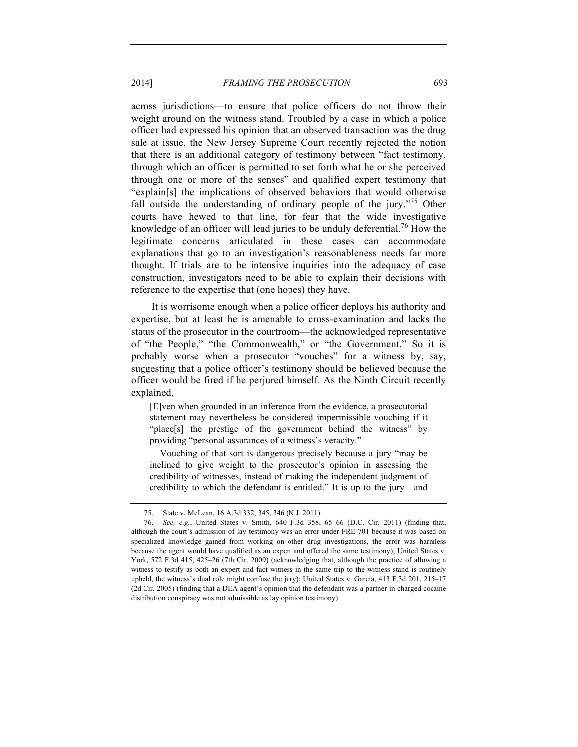across jurisdictions—to ensure that police officers do not throw their weight around on the witness stand. Troubled by a case in which a police officer had expressed his opinion that an observed transaction was the drug sale at issue, the New Jersey Supreme Court recently rejected the notion that there is an additional category of testimony between "fact testimony, through which an officer is permitted to set forth what he or she perceived through one or more of the senses" and qualified expert testimony that "explain[s] the implications of observed behaviors that would otherwise fall outside the understanding of ordinary people of the jury.<sup>"75</sup> Other courts have hewed to that line, for fear that the wide investigative knowledge of an officer will lead juries to be unduly deferential.<sup>76</sup> How the legitimate concerns articulated in these cases can accommodate explanations that go to an investigation's reasonableness needs far more thought. If trials are to be intensive inquiries into the adequacy of case construction, investigators need to be able to explain their decisions with reference to the expertise that (one hopes) they have.

It is worrisome enough when a police officer deploys his authority and expertise, but at least he is amenable to cross-examination and lacks the status of the prosecutor in the courtroom—the acknowledged representative of "the People," "the Commonwealth," or "the Government." So it is probably worse when a prosecutor "vouches" for a witness by, say, suggesting that a police officer's testimony should be believed because the officer would be fired if he perjured himself. As the Ninth Circuit recently explained,

[E]ven when grounded in an inference from the evidence, a prosecutorial statement may nevertheless be considered impermissible vouching if it "place[s] the prestige of the government behind the witness" by providing "personal assurances of a witness's veracity."

Vouching of that sort is dangerous precisely because a jury "may be inclined to give weight to the prosecutor's opinion in assessing the credibility of witnesses, instead of making the independent judgment of credibility to which the defendant is entitled." It is up to the jury—and

<sup>75.</sup> State v. McLean, 16 A.3d 332, 345, 346 (N.J. 2011).

<sup>76.</sup> *See, e.g.*, United States v. Smith, 640 F.3d 358, 65–66 (D.C. Cir. 2011) (finding that, although the court's admission of lay testimony was an error under FRE 701 because it was based on specialized knowledge gained from working on other drug investigations, the error was harmless because the agent would have qualified as an expert and offered the same testimony); United States v. York, 572 F.3d 415, 425–26 (7th Cir. 2009) (acknowledging that, although the practice of allowing a witness to testify as both an expert and fact witness in the same trip to the witness stand is routinely upheld, the witness's dual role might confuse the jury); United States v. Garcia, 413 F.3d 201, 215–17 (2d Cir. 2005) (finding that a DEA agent's opinion that the defendant was a partner in charged cocaine distribution conspiracy was not admissible as lay opinion testimony).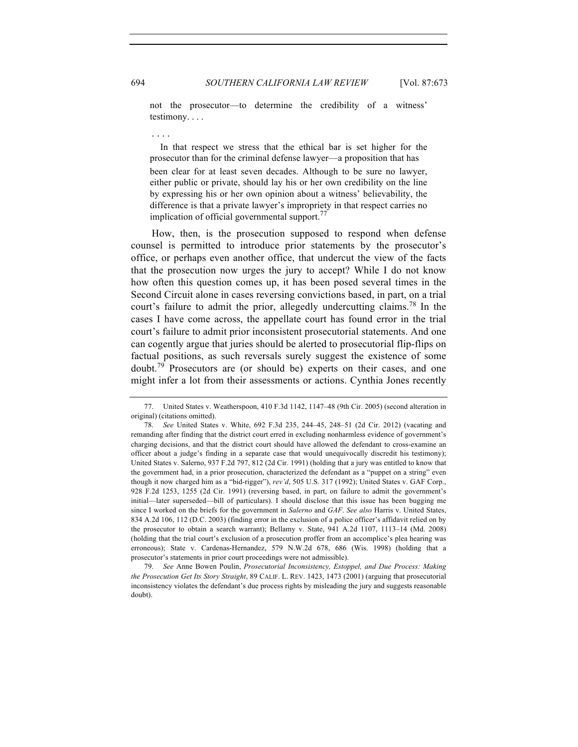694 *SOUTHERN CALIFORNIA LAW REVIEW* [Vol. 87:673

not the prosecutor—to determine the credibility of a witness' testimony. . . .

. . . .

In that respect we stress that the ethical bar is set higher for the prosecutor than for the criminal defense lawyer—a proposition that has been clear for at least seven decades. Although to be sure no lawyer, either public or private, should lay his or her own credibility on the line by expressing his or her own opinion about a witness' believability, the difference is that a private lawyer's impropriety in that respect carries no implication of official governmental support. $77$ 

How, then, is the prosecution supposed to respond when defense counsel is permitted to introduce prior statements by the prosecutor's office, or perhaps even another office, that undercut the view of the facts that the prosecution now urges the jury to accept? While I do not know how often this question comes up, it has been posed several times in the Second Circuit alone in cases reversing convictions based, in part, on a trial court's failure to admit the prior, allegedly undercutting claims.<sup>78</sup> In the cases I have come across, the appellate court has found error in the trial court's failure to admit prior inconsistent prosecutorial statements. And one can cogently argue that juries should be alerted to prosecutorial flip-flips on factual positions, as such reversals surely suggest the existence of some doubt.<sup>79</sup> Prosecutors are (or should be) experts on their cases, and one might infer a lot from their assessments or actions. Cynthia Jones recently

<sup>77.</sup> United States v. Weatherspoon, 410 F.3d 1142, 1147–48 (9th Cir. 2005) (second alteration in original) (citations omitted).

<sup>78.</sup> *See* United States v. White, 692 F.3d 235, 244–45, 248–51 (2d Cir. 2012) (vacating and remanding after finding that the district court erred in excluding nonharmless evidence of government's charging decisions, and that the district court should have allowed the defendant to cross-examine an officer about a judge's finding in a separate case that would unequivocally discredit his testimony); United States v. Salerno, 937 F.2d 797, 812 (2d Cir. 1991) (holding that a jury was entitled to know that the government had, in a prior prosecution, characterized the defendant as a "puppet on a string" even though it now charged him as a "bid-rigger"), *rev'd*, 505 U.S. 317 (1992); United States v. GAF Corp., 928 F.2d 1253, 1255 (2d Cir. 1991) (reversing based, in part, on failure to admit the government's initial—later superseded—bill of particulars). I should disclose that this issue has been bugging me since I worked on the briefs for the government in *Salerno* and *GAF*. *See also* Harris v. United States, 834 A.2d 106, 112 (D.C. 2003) (finding error in the exclusion of a police officer's affidavit relied on by the prosecutor to obtain a search warrant); Bellamy v. State, 941 A.2d 1107, 1113–14 (Md. 2008) (holding that the trial court's exclusion of a prosecution proffer from an accomplice's plea hearing was erroneous); State v. Cardenas-Hernandez, 579 N.W.2d 678, 686 (Wis. 1998) (holding that a prosecutor's statements in prior court proceedings were not admissible).

<sup>79.</sup> *See* Anne Bowen Poulin, *Prosecutorial Inconsistency, Estoppel, and Due Process: Making the Prosecution Get Its Story Straight*, 89 CALIF. L. REV. 1423, 1473 (2001) (arguing that prosecutorial inconsistency violates the defendant's due process rights by misleading the jury and suggests reasonable doubt).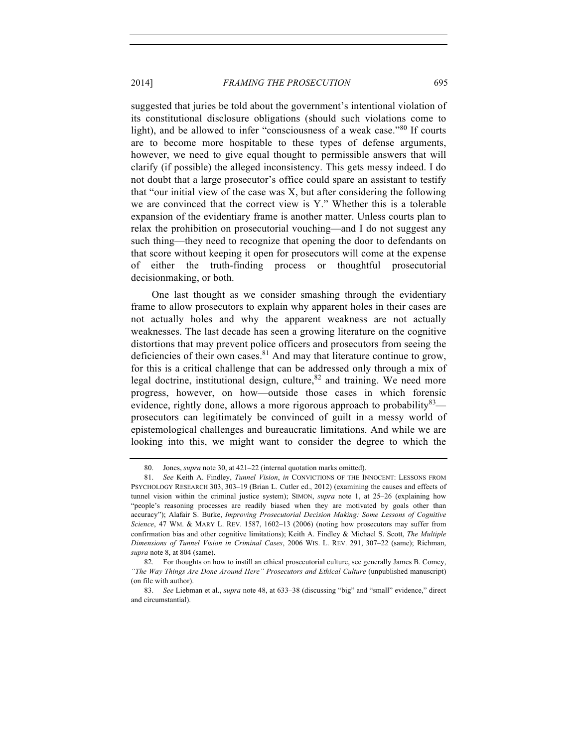suggested that juries be told about the government's intentional violation of its constitutional disclosure obligations (should such violations come to light), and be allowed to infer "consciousness of a weak case."<sup>80</sup> If courts are to become more hospitable to these types of defense arguments, however, we need to give equal thought to permissible answers that will clarify (if possible) the alleged inconsistency. This gets messy indeed. I do not doubt that a large prosecutor's office could spare an assistant to testify that "our initial view of the case was X, but after considering the following we are convinced that the correct view is Y." Whether this is a tolerable expansion of the evidentiary frame is another matter. Unless courts plan to relax the prohibition on prosecutorial vouching—and I do not suggest any such thing—they need to recognize that opening the door to defendants on that score without keeping it open for prosecutors will come at the expense of either the truth-finding process or thoughtful prosecutorial decisionmaking, or both.

One last thought as we consider smashing through the evidentiary frame to allow prosecutors to explain why apparent holes in their cases are not actually holes and why the apparent weakness are not actually weaknesses. The last decade has seen a growing literature on the cognitive distortions that may prevent police officers and prosecutors from seeing the deficiencies of their own cases.<sup>81</sup> And may that literature continue to grow, for this is a critical challenge that can be addressed only through a mix of legal doctrine, institutional design, culture,  $82$  and training. We need more progress, however, on how—outside those cases in which forensic evidence, rightly done, allows a more rigorous approach to probability  $83$  prosecutors can legitimately be convinced of guilt in a messy world of epistemological challenges and bureaucratic limitations. And while we are looking into this, we might want to consider the degree to which the

<sup>80.</sup> Jones, *supra* note 30, at 421–22 (internal quotation marks omitted).

<sup>81.</sup> *See* Keith A. Findley, *Tunnel Vision*, *in* CONVICTIONS OF THE INNOCENT: LESSONS FROM PSYCHOLOGY RESEARCH 303, 303–19 (Brian L. Cutler ed., 2012) (examining the causes and effects of tunnel vision within the criminal justice system); SIMON, *supra* note 1, at 25–26 (explaining how "people's reasoning processes are readily biased when they are motivated by goals other than accuracy"); Alafair S. Burke, *Improving Prosecutorial Decision Making: Some Lessons of Cognitive Science*, 47 WM. & MARY L. REV. 1587, 1602–13 (2006) (noting how prosecutors may suffer from confirmation bias and other cognitive limitations); Keith A. Findley & Michael S. Scott, *The Multiple Dimensions of Tunnel Vision in Criminal Cases*, 2006 WIS. L. REV. 291, 307–22 (same); Richman, *supra* note 8, at 804 (same).

<sup>82.</sup> For thoughts on how to instill an ethical prosecutorial culture, see generally James B. Comey, *"The Way Things Are Done Around Here" Prosecutors and Ethical Culture* (unpublished manuscript) (on file with author).

<sup>83.</sup> *See* Liebman et al., *supra* note 48, at 633–38 (discussing "big" and "small" evidence," direct and circumstantial).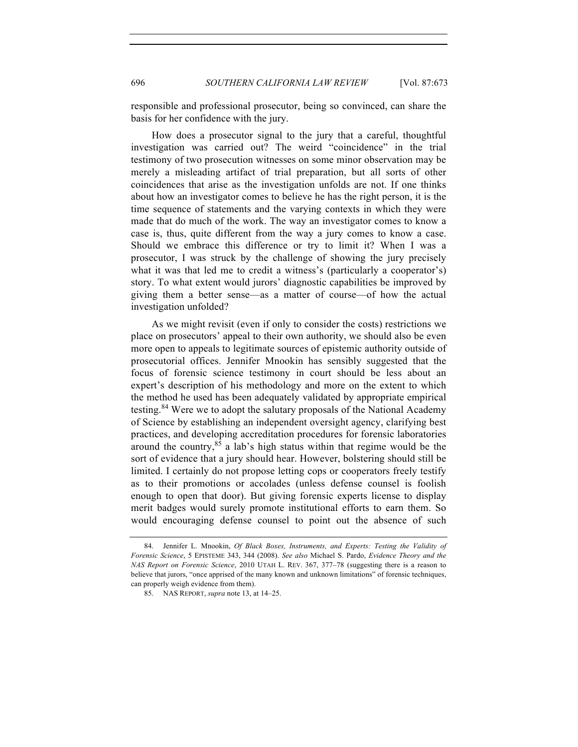responsible and professional prosecutor, being so convinced, can share the basis for her confidence with the jury.

How does a prosecutor signal to the jury that a careful, thoughtful investigation was carried out? The weird "coincidence" in the trial testimony of two prosecution witnesses on some minor observation may be merely a misleading artifact of trial preparation, but all sorts of other coincidences that arise as the investigation unfolds are not. If one thinks about how an investigator comes to believe he has the right person, it is the time sequence of statements and the varying contexts in which they were made that do much of the work. The way an investigator comes to know a case is, thus, quite different from the way a jury comes to know a case. Should we embrace this difference or try to limit it? When I was a prosecutor, I was struck by the challenge of showing the jury precisely what it was that led me to credit a witness's (particularly a cooperator's) story. To what extent would jurors' diagnostic capabilities be improved by giving them a better sense—as a matter of course—of how the actual investigation unfolded?

As we might revisit (even if only to consider the costs) restrictions we place on prosecutors' appeal to their own authority, we should also be even more open to appeals to legitimate sources of epistemic authority outside of prosecutorial offices. Jennifer Mnookin has sensibly suggested that the focus of forensic science testimony in court should be less about an expert's description of his methodology and more on the extent to which the method he used has been adequately validated by appropriate empirical testing.<sup>84</sup> Were we to adopt the salutary proposals of the National Academy of Science by establishing an independent oversight agency, clarifying best practices, and developing accreditation procedures for forensic laboratories around the country,  $85$  a lab's high status within that regime would be the sort of evidence that a jury should hear. However, bolstering should still be limited. I certainly do not propose letting cops or cooperators freely testify as to their promotions or accolades (unless defense counsel is foolish enough to open that door). But giving forensic experts license to display merit badges would surely promote institutional efforts to earn them. So would encouraging defense counsel to point out the absence of such

<sup>84.</sup> Jennifer L. Mnookin, *Of Black Boxes, Instruments, and Experts: Testing the Validity of Forensic Science*, 5 EPISTEME 343, 344 (2008). *See also* Michael S. Pardo, *Evidence Theory and the NAS Report on Forensic Science*, 2010 UTAH L. REV. 367, 377–78 (suggesting there is a reason to believe that jurors, "once apprised of the many known and unknown limitations" of forensic techniques, can properly weigh evidence from them).

<sup>85.</sup> NAS REPORT, *supra* note 13, at 14–25.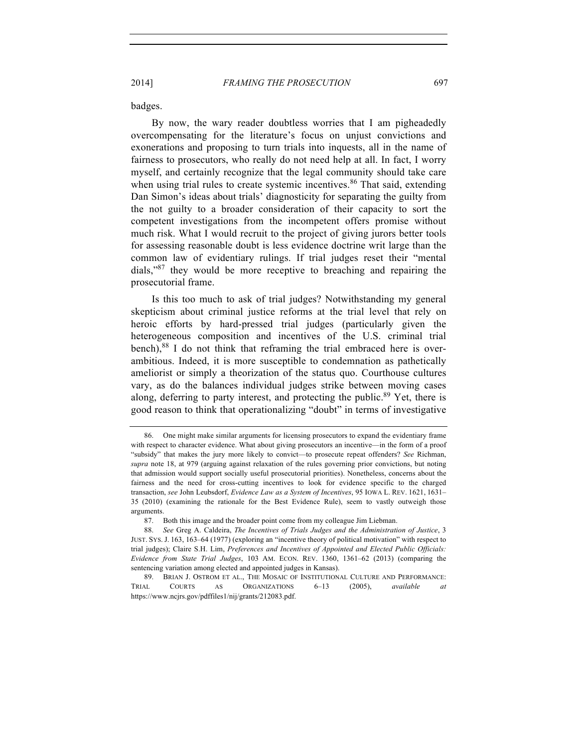badges.

By now, the wary reader doubtless worries that I am pigheadedly overcompensating for the literature's focus on unjust convictions and exonerations and proposing to turn trials into inquests, all in the name of fairness to prosecutors, who really do not need help at all. In fact, I worry myself, and certainly recognize that the legal community should take care when using trial rules to create systemic incentives.<sup>86</sup> That said, extending Dan Simon's ideas about trials' diagnosticity for separating the guilty from the not guilty to a broader consideration of their capacity to sort the competent investigations from the incompetent offers promise without much risk. What I would recruit to the project of giving jurors better tools for assessing reasonable doubt is less evidence doctrine writ large than the common law of evidentiary rulings. If trial judges reset their "mental dials,"87 they would be more receptive to breaching and repairing the prosecutorial frame.

Is this too much to ask of trial judges? Notwithstanding my general skepticism about criminal justice reforms at the trial level that rely on heroic efforts by hard-pressed trial judges (particularly given the heterogeneous composition and incentives of the U.S. criminal trial bench),<sup>88</sup> I do not think that reframing the trial embraced here is overambitious. Indeed, it is more susceptible to condemnation as pathetically ameliorist or simply a theorization of the status quo. Courthouse cultures vary, as do the balances individual judges strike between moving cases along, deferring to party interest, and protecting the public.<sup>89</sup> Yet, there is good reason to think that operationalizing "doubt" in terms of investigative

<sup>86.</sup> One might make similar arguments for licensing prosecutors to expand the evidentiary frame with respect to character evidence. What about giving prosecutors an incentive—in the form of a proof "subsidy" that makes the jury more likely to convict—to prosecute repeat offenders? *See* Richman, *supra* note 18, at 979 (arguing against relaxation of the rules governing prior convictions, but noting that admission would support socially useful prosecutorial priorities). Nonetheless, concerns about the fairness and the need for cross-cutting incentives to look for evidence specific to the charged transaction, *see* John Leubsdorf, *Evidence Law as a System of Incentives*, 95 IOWA L. REV. 1621, 1631– 35 (2010) (examining the rationale for the Best Evidence Rule), seem to vastly outweigh those arguments.

<sup>87.</sup> Both this image and the broader point come from my colleague Jim Liebman.

<sup>88.</sup> *See* Greg A. Caldeira, *The Incentives of Trials Judges and the Administration of Justice*, 3 JUST. SYS. J. 163, 163–64 (1977) (exploring an "incentive theory of political motivation" with respect to trial judges); Claire S.H. Lim, *Preferences and Incentives of Appointed and Elected Public Officials: Evidence from State Trial Judges*, 103 AM. ECON. REV. 1360, 1361–62 (2013) (comparing the sentencing variation among elected and appointed judges in Kansas).

<sup>89.</sup> BRIAN J. OSTROM ET AL., THE MOSAIC OF INSTITUTIONAL CULTURE AND PERFORMANCE: TRIAL COURTS AS ORGANIZATIONS 6–13 (2005), *available at* https://www.ncjrs.gov/pdffiles1/nij/grants/212083.pdf.